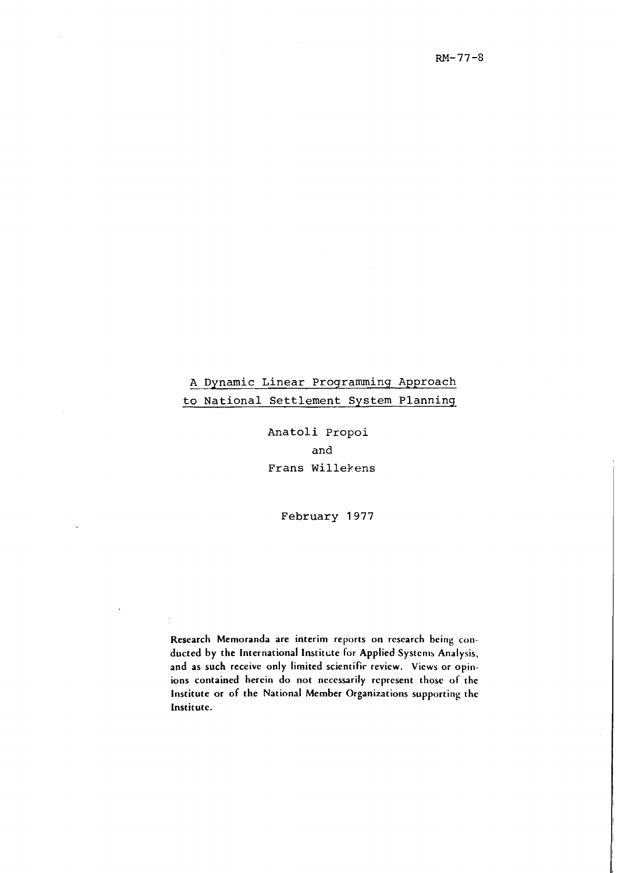# **A Dynamic Linear Programming Approach to National Settlement System Planninq**

**Anatoli Propoi and Frans Willekens** 

**February** 1977

**Research Memoranda are interim reports on research being con**ducted by the International Institute for Applied Systems Analysis, **and as such receive only limited scientific review. Views or opinions contained herein do not necessarily rcpresent those of the Institute or of the National Member Organizations supporting the Institute.**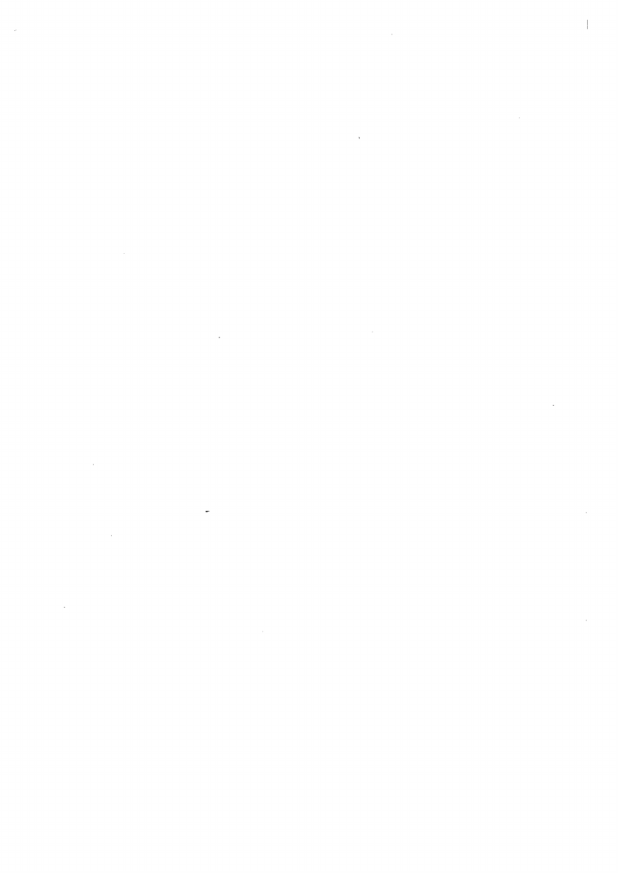$\mathbb{R}^3$  $\label{eq:2.1} \frac{1}{\sqrt{2}}\int_{\mathbb{R}^3}\frac{1}{\sqrt{2}}\left(\frac{1}{\sqrt{2}}\right)^2\frac{1}{\sqrt{2}}\left(\frac{1}{\sqrt{2}}\right)^2\frac{1}{\sqrt{2}}\left(\frac{1}{\sqrt{2}}\right)^2\frac{1}{\sqrt{2}}\left(\frac{1}{\sqrt{2}}\right)^2.$  $\label{eq:2.1} \mathcal{L}(\mathcal{L}^{\text{max}}_{\mathcal{L}}(\mathcal{L}^{\text{max}}_{\mathcal{L}}),\mathcal{L}^{\text{max}}_{\mathcal{L}^{\text{max}}_{\mathcal{L}}})$  $\mathcal{L}^{\text{max}}_{\text{max}}$  and  $\mathcal{L}^{\text{max}}_{\text{max}}$  $\mathcal{L}_{\text{max}}$  and  $\mathcal{L}_{\text{max}}$  $\label{eq:2.1} \frac{1}{\sqrt{2}}\int_{0}^{\infty}\frac{1}{\sqrt{2\pi}}\left(\frac{1}{\sqrt{2\pi}}\right)^{2\alpha} \frac{1}{\sqrt{2\pi}}\int_{0}^{\infty}\frac{1}{\sqrt{2\pi}}\frac{1}{\sqrt{2\pi}}\frac{1}{\sqrt{2\pi}}\frac{1}{\sqrt{2\pi}}\frac{1}{\sqrt{2\pi}}\frac{1}{\sqrt{2\pi}}\frac{1}{\sqrt{2\pi}}\frac{1}{\sqrt{2\pi}}\frac{1}{\sqrt{2\pi}}\frac{1}{\sqrt{2\pi}}\frac{1}{\sqrt{2\pi}}\frac{1}{$  $\label{eq:2.1} \frac{1}{\sqrt{2}}\int_{\mathbb{R}^3}\frac{1}{\sqrt{2}}\left(\frac{1}{\sqrt{2}}\int_{\mathbb{R}^3}\frac{1}{\sqrt{2}}\left(\frac{1}{\sqrt{2}}\int_{\mathbb{R}^3}\frac{1}{\sqrt{2}}\right)\left(\frac{1}{\sqrt{2}}\int_{\mathbb{R}^3}\frac{1}{\sqrt{2}}\right)\left(\frac{1}{\sqrt{2}}\int_{\mathbb{R}^3}\frac{1}{\sqrt{2}}\int_{\mathbb{R}^3}\frac{1}{\sqrt{2}}\int_{\mathbb{R}^3}\frac{1}{\sqrt{2}}\left$ 

 $\frac{1}{2}$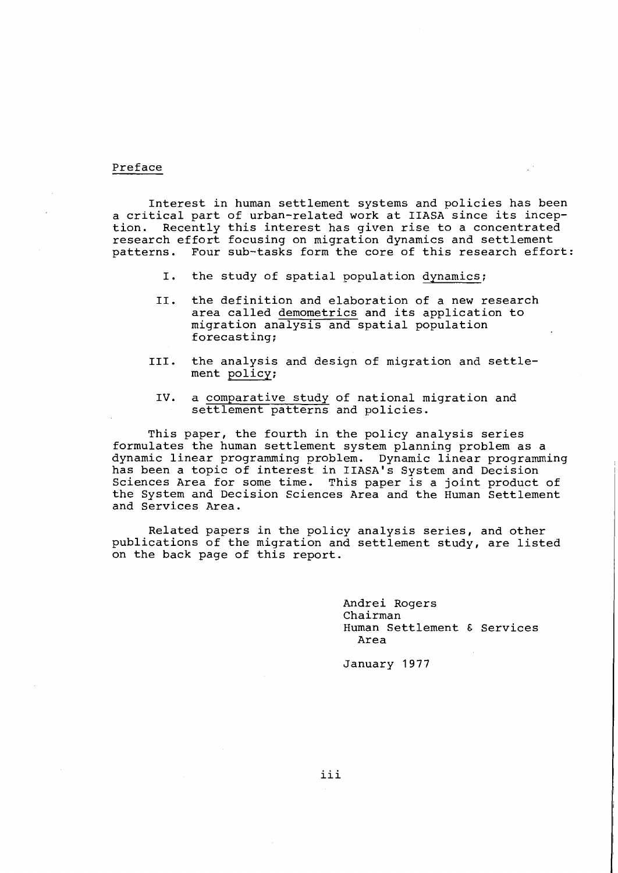### Preface

Interest in human settlement systems and policies has been a critical part of urban-related work at IIASA since its inception. Recently this interest has given rise to a concentrated research effort focusing on migration dynamics and settlement patterns. Four sub-tasks form the core of this research effort:

- I. the study of spatial population dynamics;
- 11. the definition and elaboration of a new research area called demometrics and its application to migration analysis and spatial population forecasting;
- 111. the analysis and design of migration and settlement policy;
- IV. a comparative study of national migration and settlement patterns and policies.

This paper, the fourth in the policy analysis series formulates the human settlement system planning problem as a dynamic linear programming problem. Dynamic linear programming has been a topic of interest in IIASA's System and Decision Sciences Area for some time. This paper is a joint product of the System and Decision Sciences Area and the Human Settlement and Services Area.

Related papers in the policy analysis series, and other publications of the migration and settlement study, are listed on the back page of this report.

> Andrei Rogers Chairman Human Settlement & Services Area

January 1977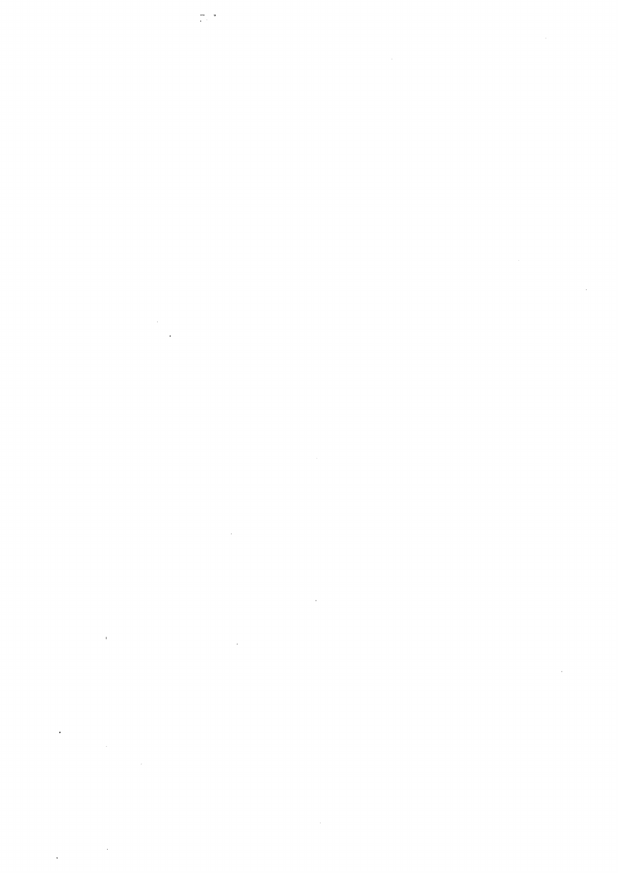$\label{eq:2.1} \frac{1}{\sqrt{2}}\int_{\mathbb{R}^3}\frac{1}{\sqrt{2}}\left(\frac{1}{\sqrt{2}}\right)^2\frac{1}{\sqrt{2}}\left(\frac{1}{\sqrt{2}}\right)^2\frac{1}{\sqrt{2}}\left(\frac{1}{\sqrt{2}}\right)^2\frac{1}{\sqrt{2}}\left(\frac{1}{\sqrt{2}}\right)^2.$ 

 $\label{eq:2.1} \frac{1}{2} \sum_{i=1}^n \frac{1}{2} \sum_{j=1}^n \frac{1}{2} \sum_{j=1}^n \frac{1}{2} \sum_{j=1}^n \frac{1}{2} \sum_{j=1}^n \frac{1}{2} \sum_{j=1}^n \frac{1}{2} \sum_{j=1}^n \frac{1}{2} \sum_{j=1}^n \frac{1}{2} \sum_{j=1}^n \frac{1}{2} \sum_{j=1}^n \frac{1}{2} \sum_{j=1}^n \frac{1}{2} \sum_{j=1}^n \frac{1}{2} \sum_{j=1}^n \frac{$ 

 $\label{eq:2.1} \mathcal{A} = \mathcal{A} \left( \mathcal{A} \right) \left( \mathcal{A} \right) \left( \mathcal{A} \right)$  $\label{eq:2.1} \frac{1}{\sqrt{2}}\left(\frac{1}{\sqrt{2}}\right)^{2} \left(\frac{1}{\sqrt{2}}\right)^{2} \left(\frac{1}{\sqrt{2}}\right)^{2} \left(\frac{1}{\sqrt{2}}\right)^{2} \left(\frac{1}{\sqrt{2}}\right)^{2} \left(\frac{1}{\sqrt{2}}\right)^{2} \left(\frac{1}{\sqrt{2}}\right)^{2} \left(\frac{1}{\sqrt{2}}\right)^{2} \left(\frac{1}{\sqrt{2}}\right)^{2} \left(\frac{1}{\sqrt{2}}\right)^{2} \left(\frac{1}{\sqrt{2}}\right)^{2} \left(\$ 

 $\label{eq:2.1} \frac{1}{\sqrt{2\pi}}\left(\frac{1}{\sqrt{2\pi}}\right)^{1/2}\left(\frac{1}{\sqrt{2\pi}}\right)^{1/2}$ 

 $\label{eq:2.1} \frac{1}{\sqrt{2\pi}}\int_{0}^{\infty}\frac{1}{\sqrt{2\pi}}\left(\frac{1}{\sqrt{2\pi}}\right)^{2}d\mu\,d\mu\,d\mu\,.$ 

 $\label{eq:2.1} \mathcal{L}(\mathcal{L}) = \mathcal{L}(\mathcal{L}) \mathcal{L}(\mathcal{L}) = \mathcal{L}(\mathcal{L}) \mathcal{L}(\mathcal{L})$ 

 $\label{eq:2.1} \frac{1}{\sqrt{2}}\int_{\mathbb{R}^3}\frac{1}{\sqrt{2}}\left(\frac{1}{\sqrt{2}}\right)^2\frac{1}{\sqrt{2}}\left(\frac{1}{\sqrt{2}}\right)^2\frac{1}{\sqrt{2}}\left(\frac{1}{\sqrt{2}}\right)^2\frac{1}{\sqrt{2}}\left(\frac{1}{\sqrt{2}}\right)^2.$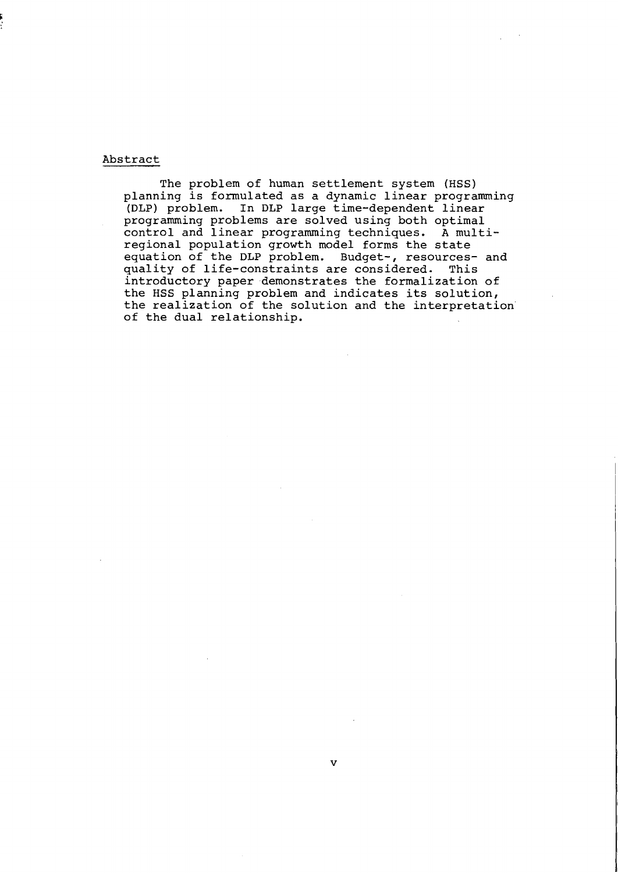### Abstract

The problem of human settlement system (HSS) planning is formulated as a dynamic linear programming (DLP) problem. In DLP large time-dependent linear programming problems are solved using both optimal control and linear programming techniques. A multiregional population growth model forms the state equation of the DLP problem. Budget-, resources- and quality of life-constraints are considered. This introductory paper demonstrates the formalization of the HSS planning problem and indicates its solution, the realization of the solution and the interpretation of the dual relationship.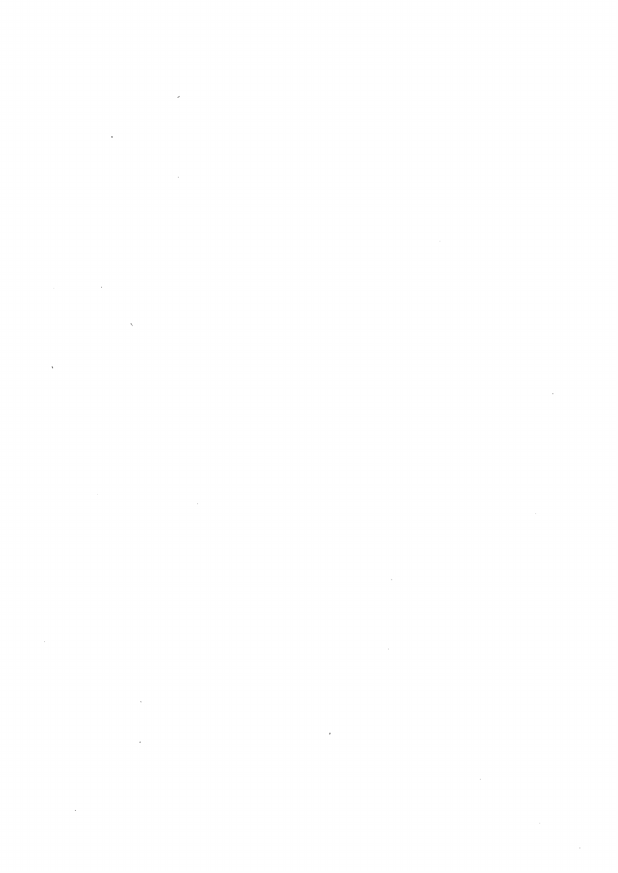$\label{eq:2.1} \frac{1}{\sqrt{2\pi}}\sum_{i=1}^n\frac{1}{\sqrt{2\pi}}\sum_{i=1}^n\frac{1}{\sqrt{2\pi}}\sum_{i=1}^n\frac{1}{\sqrt{2\pi}}\sum_{i=1}^n\frac{1}{\sqrt{2\pi}}\sum_{i=1}^n\frac{1}{\sqrt{2\pi}}\sum_{i=1}^n\frac{1}{\sqrt{2\pi}}\sum_{i=1}^n\frac{1}{\sqrt{2\pi}}\sum_{i=1}^n\frac{1}{\sqrt{2\pi}}\sum_{i=1}^n\frac{1}{\sqrt{2\pi}}\sum_{i=1}^n\$ 

 $\label{eq:2.1} \frac{1}{\sqrt{2\pi}}\int_{\mathbb{R}^3}\frac{1}{\sqrt{2\pi}}\left(\frac{1}{\sqrt{2\pi}}\right)^2\frac{1}{\sqrt{2\pi}}\int_{\mathbb{R}^3}\frac{1}{\sqrt{2\pi}}\left(\frac{1}{\sqrt{2\pi}}\right)^2\frac{1}{\sqrt{2\pi}}\frac{1}{\sqrt{2\pi}}\int_{\mathbb{R}^3}\frac{1}{\sqrt{2\pi}}\frac{1}{\sqrt{2\pi}}\frac{1}{\sqrt{2\pi}}\frac{1}{\sqrt{2\pi}}\frac{1}{\sqrt{2\pi}}\frac{1}{\sqrt{2\$  $\label{eq:2.1} \frac{1}{\sqrt{2}}\int_{0}^{\infty}\frac{1}{\sqrt{2\pi}}\left(\frac{1}{\sqrt{2\pi}}\right)^{2\alpha} \frac{1}{\sqrt{2\pi}}\int_{0}^{\infty}\frac{1}{\sqrt{2\pi}}\left(\frac{1}{\sqrt{2\pi}}\right)^{\alpha} \frac{1}{\sqrt{2\pi}}\frac{1}{\sqrt{2\pi}}\int_{0}^{\infty}\frac{1}{\sqrt{2\pi}}\frac{1}{\sqrt{2\pi}}\frac{1}{\sqrt{2\pi}}\frac{1}{\sqrt{2\pi}}\frac{1}{\sqrt{2\pi}}\frac{1}{\sqrt{2\pi}}$ 

 $\label{eq:2.1} \mathcal{L}^{\mathcal{A}}_{\mathcal{A}}(\mathcal{A})=\mathcal{L}^{\mathcal{A}}_{\mathcal{A}}(\mathcal{A})=\mathcal{L}^{\mathcal{A}}_{\mathcal{A}}(\mathcal{A})=\mathcal{L}^{\mathcal{A}}_{\mathcal{A}}(\mathcal{A})$ 

 $\label{eq:2.1} \frac{1}{2} \int_{\mathbb{R}^3} \frac{1}{\sqrt{2\pi}} \int_{\mathbb{R}^3} \frac{1}{\sqrt{2\pi}} \int_{\mathbb{R}^3} \frac{1}{\sqrt{2\pi}} \int_{\mathbb{R}^3} \frac{1}{\sqrt{2\pi}} \int_{\mathbb{R}^3} \frac{1}{\sqrt{2\pi}} \int_{\mathbb{R}^3} \frac{1}{\sqrt{2\pi}} \int_{\mathbb{R}^3} \frac{1}{\sqrt{2\pi}} \int_{\mathbb{R}^3} \frac{1}{\sqrt{2\pi}} \int_{\mathbb{R}^3}$  $\label{eq:2.1} \frac{1}{\sqrt{2}}\int_{\mathbb{R}^3}\frac{1}{\sqrt{2}}\left(\frac{1}{\sqrt{2}}\right)^2\frac{1}{\sqrt{2}}\left(\frac{1}{\sqrt{2}}\right)^2\frac{1}{\sqrt{2}}\left(\frac{1}{\sqrt{2}}\right)^2\frac{1}{\sqrt{2}}\left(\frac{1}{\sqrt{2}}\right)^2.$ 

 $\label{eq:2.1} \frac{1}{\sqrt{2}}\int_{0}^{\infty}\frac{1}{\sqrt{2\pi}}\left(\frac{1}{\sqrt{2\pi}}\right)^{2}d\mu\left(\frac{1}{\sqrt{2\pi}}\right)\frac{d\mu}{d\mu}d\mu\left(\frac{1}{\sqrt{2\pi}}\right).$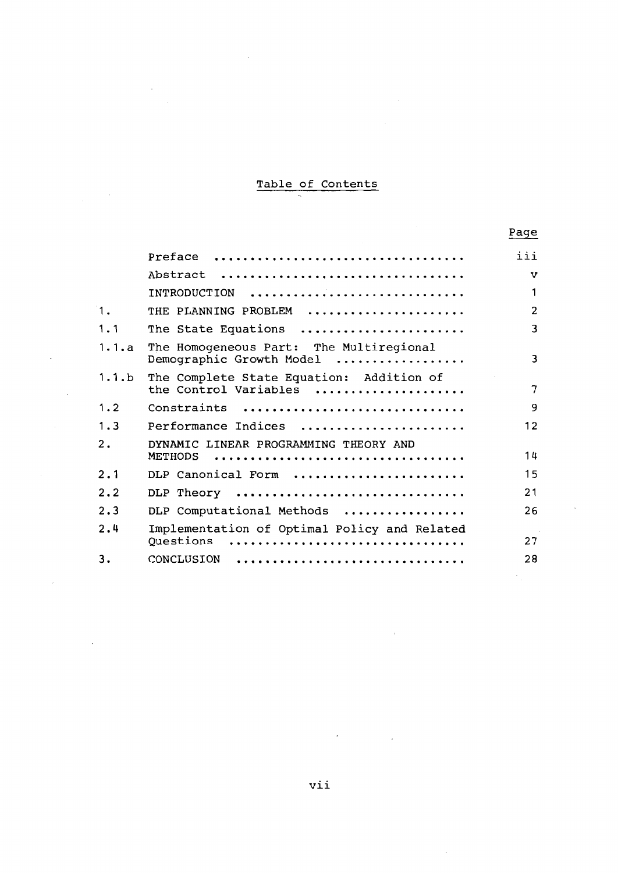# Table of Contents

 $\mathcal{L}^{\text{max}}_{\text{max}}$ 

 $\mathcal{L}^{\mathcal{L}}$ 

 $\mathcal{L}^{\text{max}}_{\text{max}}$  ,  $\mathcal{L}^{\text{max}}_{\text{max}}$ 

 $\label{eq:2.1} \frac{1}{\sqrt{2\pi}}\int_{\mathbb{R}^3} \frac{1}{\sqrt{2\pi}}\left(\frac{1}{\sqrt{2\pi}}\right)^2\frac{1}{\sqrt{2\pi}}\,d\mu$ 

 $\hat{\mathcal{A}}$ 

 $\frac{1}{2} \frac{1}{2} \frac{1}{2} \frac{1}{2}$ 

 $\sim 10^{-11}$ 

 $\ddot{\phantom{1}}$ 

|                                                                     | Page     |
|---------------------------------------------------------------------|----------|
| Preface                                                             | $\cdots$ |
| Abstract                                                            | v        |
| INTRODUCTION                                                        |          |
| THE PLANNING PROBLEM                                                | 2        |
| The State Equations                                                 | 3        |
| The Homogeneous Part: The Multiregional<br>Demographic Growth Model | 3        |
| The Complete State Equation: Addition of<br>the Control Variables   | 7        |
| Constraints                                                         | 9        |
| Performance Indices                                                 | 12       |
| DYNAMIC LINEAR PROGRAMMING THEORY AND<br><b>METHODS</b>             | 14       |
| DLP Canonical Form                                                  | 15       |
| DLP Theory                                                          | 21       |
| DLP Computational Methods                                           | 26       |
| Implementation of Optimal Policy and Related<br>Ouestions           | 27       |
| CONCLUSION                                                          | 28       |
|                                                                     |          |

 $\sim$   $\alpha$ 

 $\sim$ 

 $\label{eq:2.1} \frac{1}{\sqrt{2}}\int_{\mathbb{R}^3}\frac{1}{\sqrt{2}}\left(\frac{1}{\sqrt{2}}\right)^2\left(\frac{1}{\sqrt{2}}\right)^2\left(\frac{1}{\sqrt{2}}\right)^2\left(\frac{1}{\sqrt{2}}\right)^2\left(\frac{1}{\sqrt{2}}\right)^2.$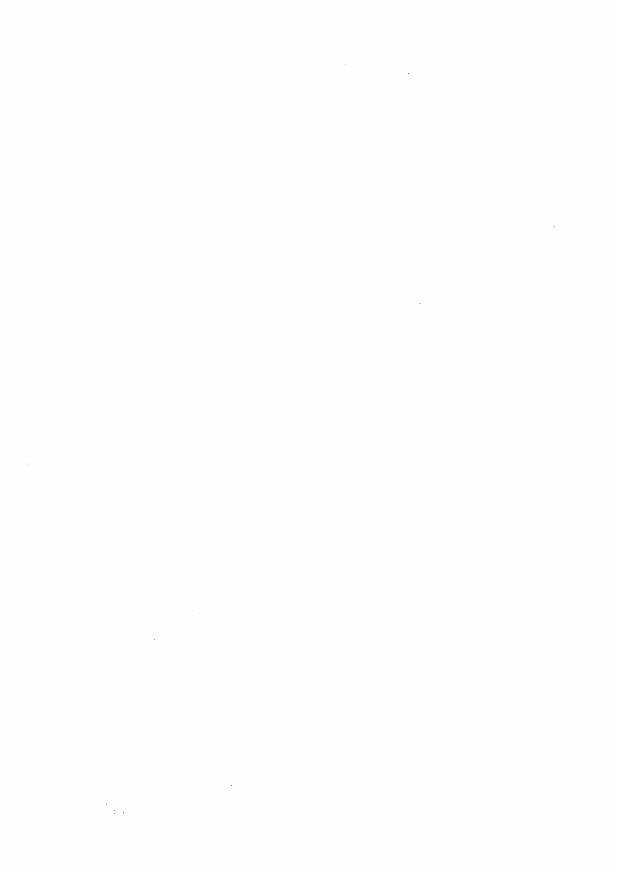$\label{eq:1.1} \frac{1}{2} \sum_{i=1}^n \frac{1}{2} \sum_{j=1}^n \frac{1}{2} \sum_{j=1}^n \frac{1}{2} \sum_{j=1}^n \frac{1}{2} \sum_{j=1}^n \frac{1}{2} \sum_{j=1}^n \frac{1}{2} \sum_{j=1}^n \frac{1}{2} \sum_{j=1}^n \frac{1}{2} \sum_{j=1}^n \frac{1}{2} \sum_{j=1}^n \frac{1}{2} \sum_{j=1}^n \frac{1}{2} \sum_{j=1}^n \frac{1}{2} \sum_{j=1}^n \frac{$  $\label{eq:2.1} \frac{1}{\sqrt{2}}\int_{\mathbb{R}^3}\frac{1}{\sqrt{2}}\left(\frac{1}{\sqrt{2}}\right)^2\frac{1}{\sqrt{2}}\left(\frac{1}{\sqrt{2}}\right)^2\frac{1}{\sqrt{2}}\left(\frac{1}{\sqrt{2}}\right)^2.$ 

 $\label{eq:2} \frac{1}{2} \sum_{i=1}^n \frac{1}{2} \sum_{j=1}^n \frac{1}{2} \sum_{j=1}^n \frac{1}{2} \sum_{j=1}^n \frac{1}{2} \sum_{j=1}^n \frac{1}{2} \sum_{j=1}^n \frac{1}{2} \sum_{j=1}^n \frac{1}{2} \sum_{j=1}^n \frac{1}{2} \sum_{j=1}^n \frac{1}{2} \sum_{j=1}^n \frac{1}{2} \sum_{j=1}^n \frac{1}{2} \sum_{j=1}^n \frac{1}{2} \sum_{j=1}^n \frac{1}{$ 

 $\label{eq:2.1} \frac{1}{\sqrt{2}}\int_{\mathbb{R}^3}\frac{1}{\sqrt{2}}\left(\frac{1}{\sqrt{2}}\right)^2\frac{1}{\sqrt{2}}\left(\frac{1}{\sqrt{2}}\right)^2\frac{1}{\sqrt{2}}\left(\frac{1}{\sqrt{2}}\right)^2\frac{1}{\sqrt{2}}\left(\frac{1}{\sqrt{2}}\right)^2.$ 

 $\label{eq:2.1} \frac{1}{2} \int_{\mathbb{R}^3} \frac{1}{\sqrt{2}} \, \frac{1}{\sqrt{2}} \, \frac{1}{\sqrt{2}} \, \frac{1}{\sqrt{2}} \, \frac{1}{\sqrt{2}} \, \frac{1}{\sqrt{2}} \, \frac{1}{\sqrt{2}} \, \frac{1}{\sqrt{2}} \, \frac{1}{\sqrt{2}} \, \frac{1}{\sqrt{2}} \, \frac{1}{\sqrt{2}} \, \frac{1}{\sqrt{2}} \, \frac{1}{\sqrt{2}} \, \frac{1}{\sqrt{2}} \, \frac{1}{\sqrt{2}} \, \frac{1}{\sqrt{2}} \,$ 

 $\label{eq:2.1} \frac{1}{\sqrt{2}}\int_{\mathbb{R}^3}\frac{1}{\sqrt{2}}\left(\frac{1}{\sqrt{2}}\right)^2\frac{1}{\sqrt{2}}\left(\frac{1}{\sqrt{2}}\right)^2\frac{1}{\sqrt{2}}\left(\frac{1}{\sqrt{2}}\right)^2\frac{1}{\sqrt{2}}\left(\frac{1}{\sqrt{2}}\right)^2.$ 

 $\label{eq:2.1} \frac{1}{2}\sum_{i=1}^n\frac{1}{2}\sum_{j=1}^n\frac{1}{2}\sum_{j=1}^n\frac{1}{2}\sum_{j=1}^n\frac{1}{2}\sum_{j=1}^n\frac{1}{2}\sum_{j=1}^n\frac{1}{2}\sum_{j=1}^n\frac{1}{2}\sum_{j=1}^n\frac{1}{2}\sum_{j=1}^n\frac{1}{2}\sum_{j=1}^n\frac{1}{2}\sum_{j=1}^n\frac{1}{2}\sum_{j=1}^n\frac{1}{2}\sum_{j=1}^n\frac{1}{2}\sum_{j=1}^n\$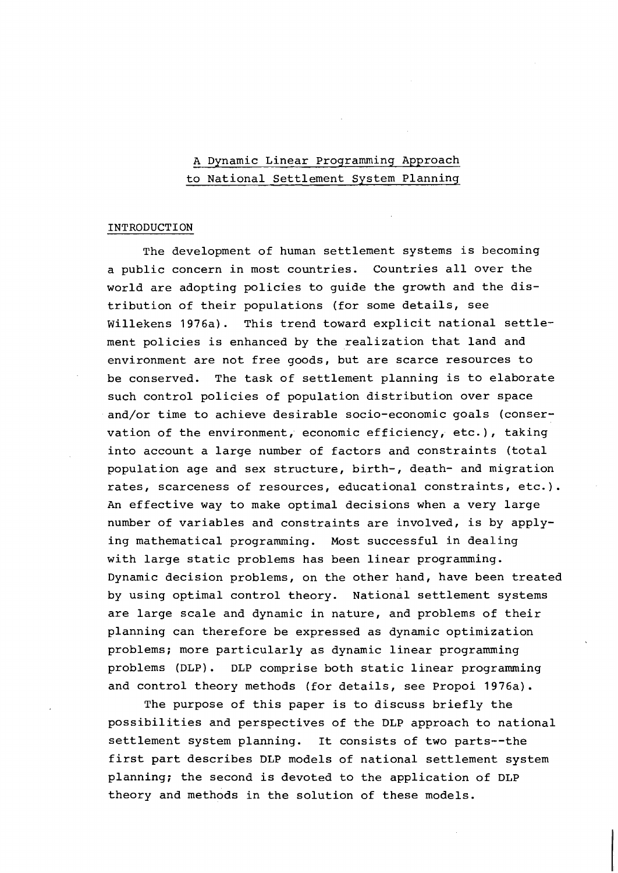# A Dynamic Linear Programming Approach to National Settlement System Planning

### INTRODUCTION

The development of human settlement systems is becoming a public concern in most countries. Countries all over the world are adopting policies to guide the growth and the distribution of their populations (for some details, see Willekens 1976a). This trend toward explicit national settlement policies is enhanced by the realization that land and environment are not free goods, but are scarce resources to be conserved. The task of settlement planning is to elaborate such control policies of population distribution over space and/or time to achieve desirable socio-economic goals (conservation of the environment, economic efficiency, etc.), taking into account a large number of factors and constraints (total population age and sex structure, birth-, death- and migration rates, scarceness of resources, educational constraints, etc.). An effective way to make optimal decisions when a very large number of variables and constraints are involved, is by applying mathematical programming. Most successful in dealing with large static problems has been linear programming. Dynamic decision problems, on the other hand, have been treated by using optimal control theory. National settlement systems are large scale and dynamic in nature, and problems of their planning can therefore be expressed as dynamic optimization problems; more particularly as dynamic linear programming problems (DLP). DLP comprise both static linear programming and control theory methods (for details, see Propoi 1976a).

The purpose of this paper is to discuss briefly the possibilities and perspectives of the DLP approach to national settlement system planning. It consists of two parts--the first part describes DLP models of national settlement system planning; the second is devoted to the application of DLP theory and methods in the solution of these models.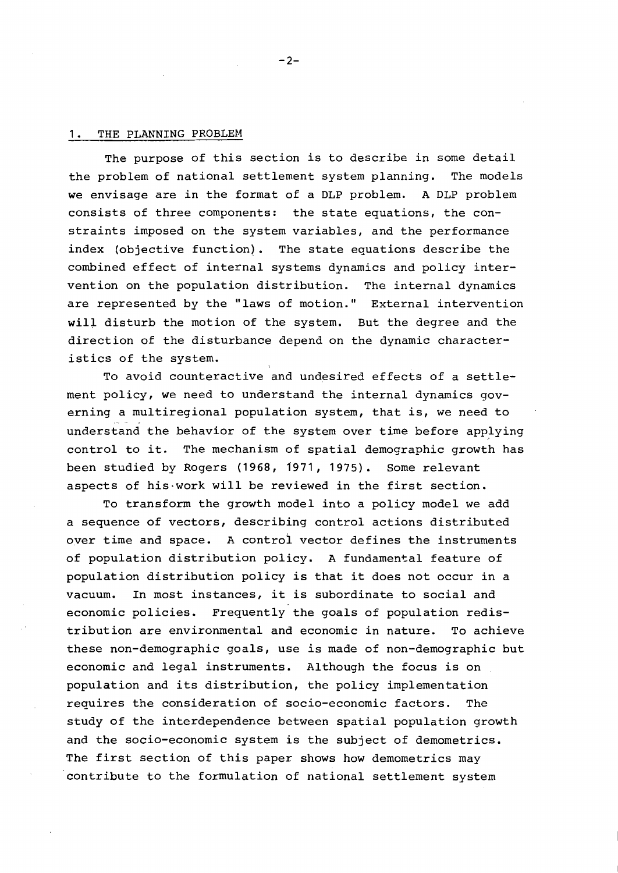#### 1. THE **PLANNING PROBLEM**

The purpose of this section is to describe in some detail the problem of national settlement system planning. The models we envisage are in the format of a **DLP** problem. **A DLP** problem consists of three components: the state equations, the constraints imposed on the system variables, and the performance index (objective function). The state equations describe the combined effect of internal systems dynamics and policy intervention on the population distribution. The internal dynamics are represented by the "laws of motion." External intervention will disturb the motion of the system. But the degree and the direction of the disturbance depend on the dynamic characteristics of the system.

To avoid counteractive and undesired effects of a settlement policy, we need to understand the internal dynamics governing a multiregional population system, that is, we need to -<br>understand the behavior of the system over time before applying control to it. The mechanism of spatial demographic growth has been studied by Rogers (1968, 1971, 1975). Some relevant aspects of his-work will be reviewed in the first section.

To transform the growth model into a policy model we add a sequence of vectors, describing control actions distributed over time and space. A control vector defines the instruments of population distribution policy. A fundamental feature of population distribution policy is that it does not occur in a vacuum. In most instances, it is subordinate to social and economic policies. Frequently the goals of population redistribution are environmental and economic in nature. To achieve these non-demographic goals, use is made of non-demographic but economic and legal instruments. Although the focus is on population and its distribution, the policy implementation requires the consideration of socio-economic factors. The study of the interdependence between spatial population growth and the socio-economic system is the subject of demometrics. The first section of this paper shows how demometrics may contribute to the formulation of national settlement system

 $-2-$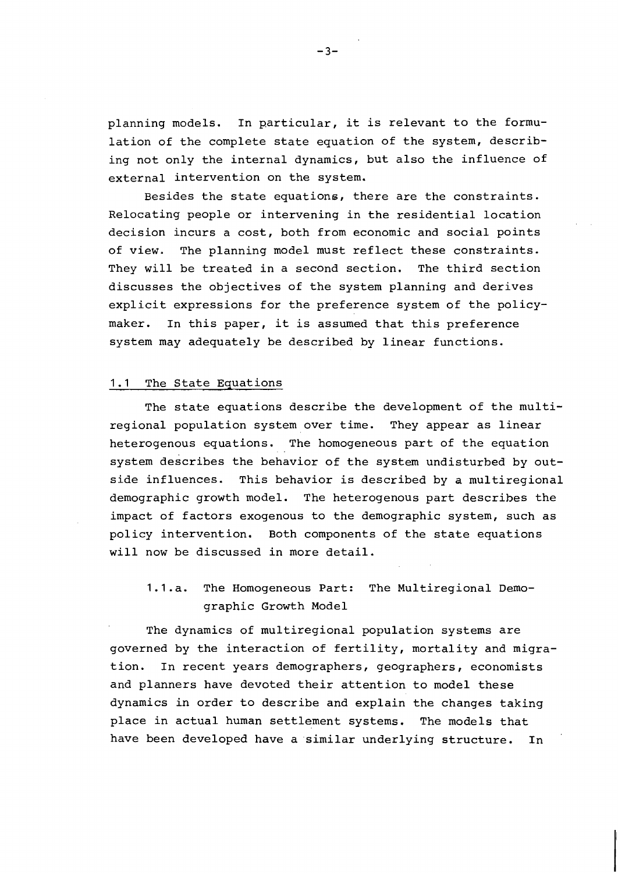planning models. In particular, it is relevant to the formulation of the complete state equation of the system, describing not only the internal dynamics, but also the influence of external intervention on the system.

Besides the state equations, there are the constraints. Relocating people or intervening in the residential location decision incurs a cost, both from economic and social points of view. The planning model must reflect these constraints. They will be treated in a second section. The third section discusses the objectives of the system planning and derives explicit expressions for the preference system of the policymaker. In this paper, it is assumed that this preference system may adequately be described by linear functions.

### 1.1 The State Equations

The state equations describe the development of the multiregional population system over time. They appear as linear heterogenous equations. The homogeneous part of the equation system describes the behavior of the system undisturbed by outside influences. This behavior is described by a multiregional demographic growth model. The heterogenous part describes the impact of factors exogenous to the demographic system, such as policy intervention. Both components of the state equations will now be discussed in more detail.

1.1.a. The Homogeneous Part: The Multiregional Demographic Growth Model

The dynamics of multiregional population systems are governed by the interaction of fertility, mortality and migration. In recent years demographers, geographers, economists and planners have devoted their attention to model these dynamics in order to describe and explain the changes taking place in actual human settlement systems. The models that have been developed have a similar underlying structure. In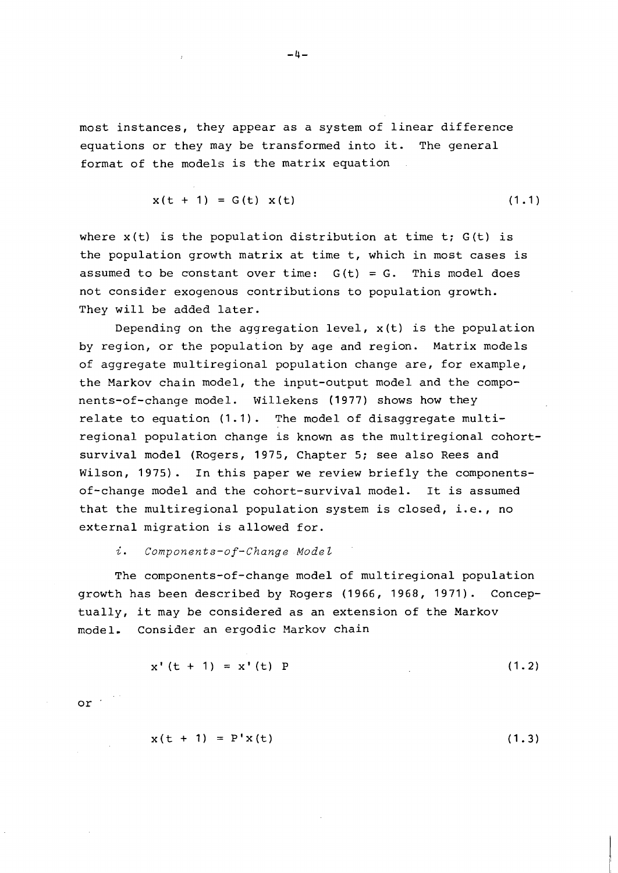most instances, they appear as a system of linear difference equations or they may be transformed into it. The general format of the models is the matrix equation

$$
x(t + 1) = G(t) x(t)
$$
 (1.1)

where  $x(t)$  is the population distribution at time t;  $G(t)$  is the population growth matrix at time t, which in most cases is assumed to be constant over time:  $G(t) = G$ . This model does not consider exogenous contributions to population growth. They will be added later.

Depending on the aggregation level,  $x(t)$  is the population by region, or the population by age and region. Matrix models of aggregate multiregional population change are, for example, the Markov chain model, the input-output model and the components-of-change model. Willekens (1977) shows how they relate to equation (1.1). The model of disaggregate multiregional population change is known as the multiregional cohortsurvival model (Rogers, 1975, Chapter 5; see also Rees and Wilson, 1975). In this paper we review briefly the componentsof-change model and the cohort-survival model. It is assumed that the multiregional population system is closed, i.e., no external migration is allowed for.

Components-of-Change Model  $\iota$ .

The components-of-change model of multiregional population growth has been described by Rogers (1966, 1968, 1971). Conceptually, it may be considered as an extension of the Markov model. Consider an ergodic Markov chain

$$
x'(t + 1) = x'(t) P
$$
 (1.2)

or  $\overline{a}$ 

$$
x(t + 1) = P' x(t) \tag{1.3}
$$

 $-4-$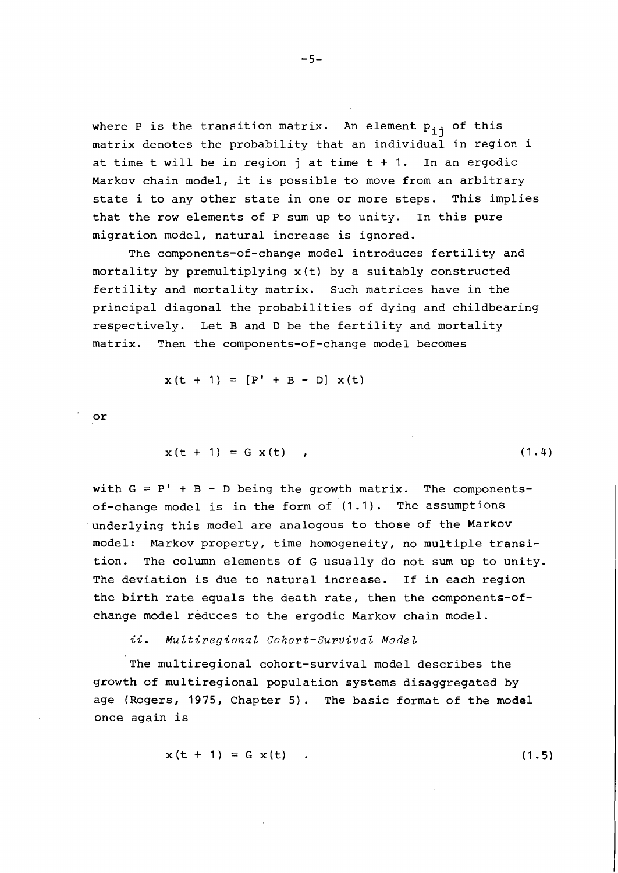where P is the transition matrix. An element  $p_{i,j}$  of this matrix denotes the probability that an individual in region i at time t will be in region  $j$  at time  $t + 1$ . In an ergodic Markov chain model, it is possible to move from an arbitrary state i to any other state in one or more steps. This implies that the row elements of P sum up to unity. In this pure migration model, natural increase is ignored.

The components-of-change model introduces fertility and mortality by premultiplying x(t) by a suitably constructed fertility and mortality matrix. Such matrices have in the principal diagonal the probabilities of dying and childbearing respectively. Let B and D be the fertility and mortality matrix. Then the components-of-change model becomes

$$
x(t + 1) = [P' + B - D] x(t)
$$

or

 $x(t + 1) = G x(t)$ ,

with  $G = P' + B - D$  being the growth matrix. The componentsof-change model is in the form of (1.1). The assumptions underlying this model are analogous to those of the Markov model: Markov property, time homogeneity, no multiple transition. The column elements of G usually do not **sum** up to unity. The deviation is due to natural increase. If in each region the birth rate equals the death rate, then the components-ofchange model reduces to the ergodic Markov chain model.

ii. Multiregional Cohort-Survival Model

The multiregional cohort-survival model describes the growth of multiregional population systems disaggregated by age (Rogers, 1975, Chapter 5). The basic format of the model once again is

$$
x(t + 1) = G x(t) \quad .
$$

 $(1.5)$ 

 $(1.4)$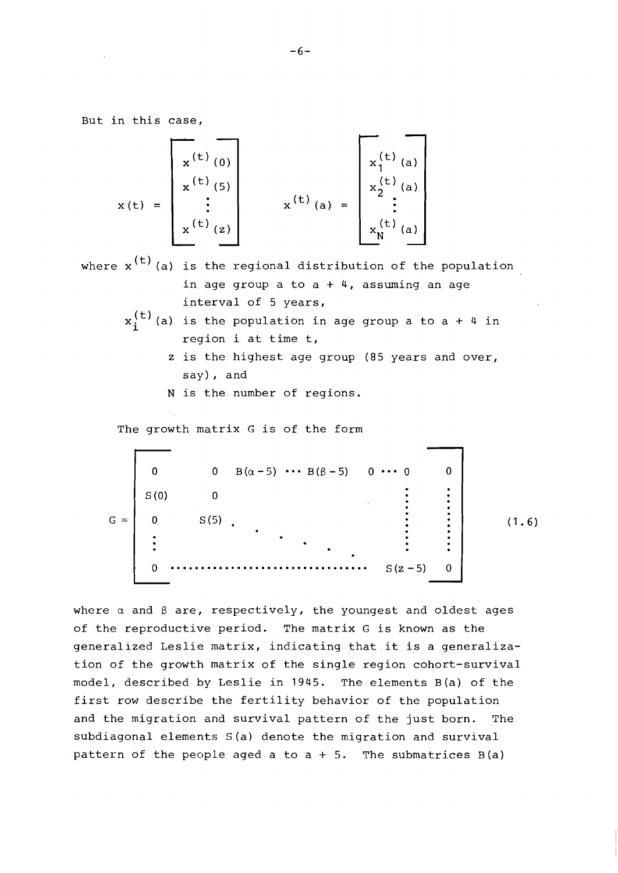But in this case,

$$
x(t) = \begin{bmatrix} x^{(t)}(0) \\ x^{(t)}(5) \\ \vdots \\ x^{(t)}(z) \end{bmatrix} \qquad x^{(t)}(a) = \begin{bmatrix} x_1^{(t)}(a) \\ x_2^{(t)}(a) \\ \vdots \\ x_N^{(t)}(a) \end{bmatrix}
$$

where  $x^{(t)}$  (a) is the regional distribution of the population in age group a to  $a + 4$ , assuming an age interval of 5 years,  $\mathbf{A}$ 

$$
x_i^{(t)}
$$
 (a) is the population in age group a to a + 4 in region i at time t,

- z is the highest age group (85 years and over, say), and
- N is the number of regions.

The growth matrix G is of the form

|       |      | $B(\alpha - 5) \cdots B(\beta - 5) \quad 0 \cdots 0$<br>0 |   |       |
|-------|------|-----------------------------------------------------------|---|-------|
|       | S(0) |                                                           |   |       |
| $G =$ |      | S(5)                                                      |   | (1.6) |
|       |      |                                                           |   |       |
|       |      | $S(z - 5)$                                                | 0 |       |
|       |      |                                                           |   |       |

where  $\alpha$  and  $\beta$  are, respectively, the youngest and oldest ages of the reproductive period. The matrix G is known as the generalized Leslie matrix, indicating that it is a generalization of the growth matrix of the single region cohort-survival model, described by Leslie in 1945. The elements B(a) of the first row describe the fertility behavior of the population and the migration and survival pattern of the just born. The subdiagonal elements S(a) denote the migration and survival pattern of the people aged a to  $a + 5$ . The submatrices  $B(a)$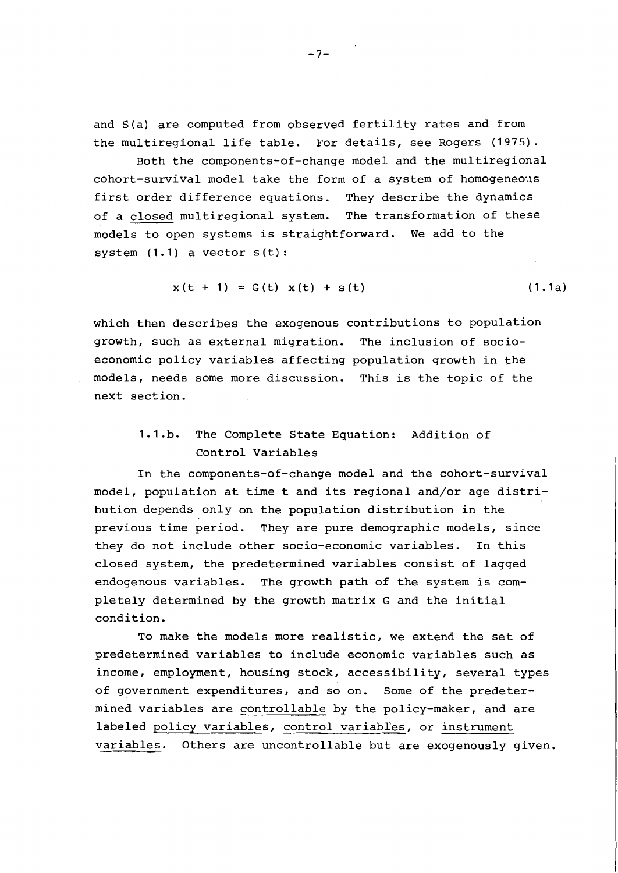and S(a) are computed from observed fertility rates and from the multiregional life table. For details, see Rogers (1975).

Both the components-of-change model and the multiregional cohort-survival model take the form of a system of homogeneous first order difference equations. They describe the dynamics of a closed multiregional system. The transformation of these models to open systems is straightforward. We add to the system  $(1.1)$  a vector  $s(t)$ :

$$
x(t + 1) = G(t) x(t) + s(t)
$$
 (1.1a)

which then describes the exogenous contributions to population growth, such as external migration. The inclusion of socioeconomic policy variables affecting population growth in the models, needs some more discussion. This is the topic of the next section.

# 1.b. The Complete State Equation: Addition of Control Variables

In the components-of-change model and the cohort-survival model, population at time t and its regional and/or age distribution depends only on the population distribution in the previous time period. They are pure demographic models, since they do not include other socio-economic variables. In this closed system, the predetermined variables consist of lagged endogenous variables. The growth path of the system is completely determined by the growth matrix G and the initial condition.

To make the models more realistic, we extend the set of predetermined variables to include economic variables such as income, employment, housing stock, accessibility, several types of government expenditures, and so on. Some of the predetermined variables are controllable by the policy-maker, and are labeled policy variables, control variables, or instrument variables. Others are uncontrollable but are exogenously given.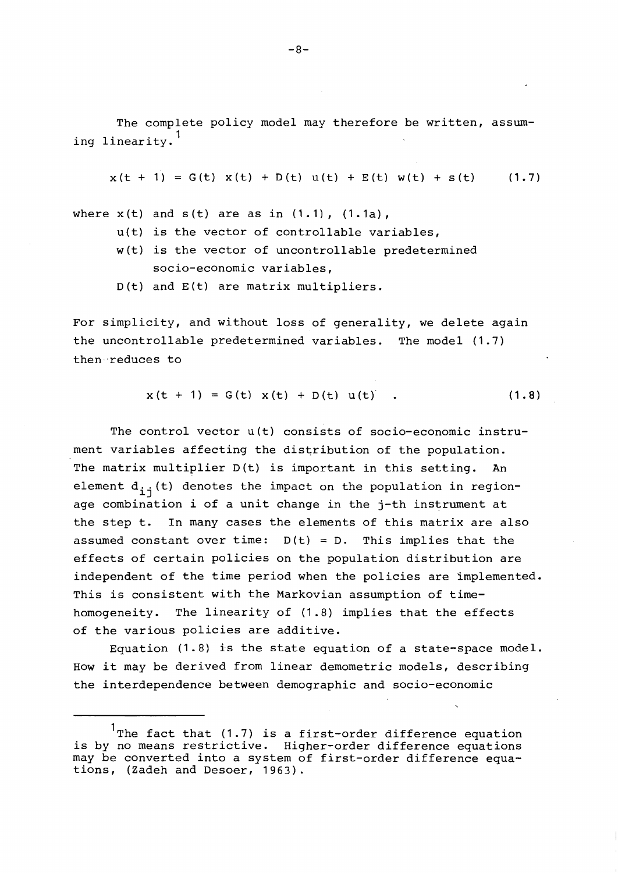The complete policy model may therefore be written, assuming linearitv.<sup>1</sup>

 $x(t + 1) = G(t) x(t) + D(t) u(t) + E(t) w(t) + s(t)$  (1.7)

where 
$$
x(t)
$$
 and  $s(t)$  are as in (1.1), (1.1a),

- u(t) is the vector of controllable variables,
- w(t) is the vector of uncontrollable predetermined socio-economic variables,
- D (t) and E(t) are matrix multipliers.

For simplicity, and without loss of generality, we delete again the uncontrollable predetermined variables. The model (1.7) then reduces to

$$
x(t + 1) = G(t) x(t) + D(t) u(t) . \qquad (1.8)
$$

The control vector u(t) consists of socio-economic instrument variables affecting the distribution of the population. The matrix multiplier D(t) is important in this setting. An element  $d_{i,j}(t)$  denotes the impact on the population in regionage combination i of a unit change in the j-th instrument at the step t. In many cases the elements of this matrix are also assumed constant over time:  $D(t) = D$ . This implies that the effects of certain policies on the population distribution are independent of the time period when the policies are implemented. This is consistent with the Markovian assumption of timehomogeneity. The linearity of (1.8) implies that the effects of the various policies are additive.

Equation  $(1.8)$  is the state equation of a state-space model. How it may be derived from linear demometric models, describing the interdependence between demographic and socio-economic

The fact that (1.7) is a first-order difference equation is by no means restrictive. Higher-order difference equations may be converted into a system of first-order difference equations, (Zadeh and Desoer, 1963).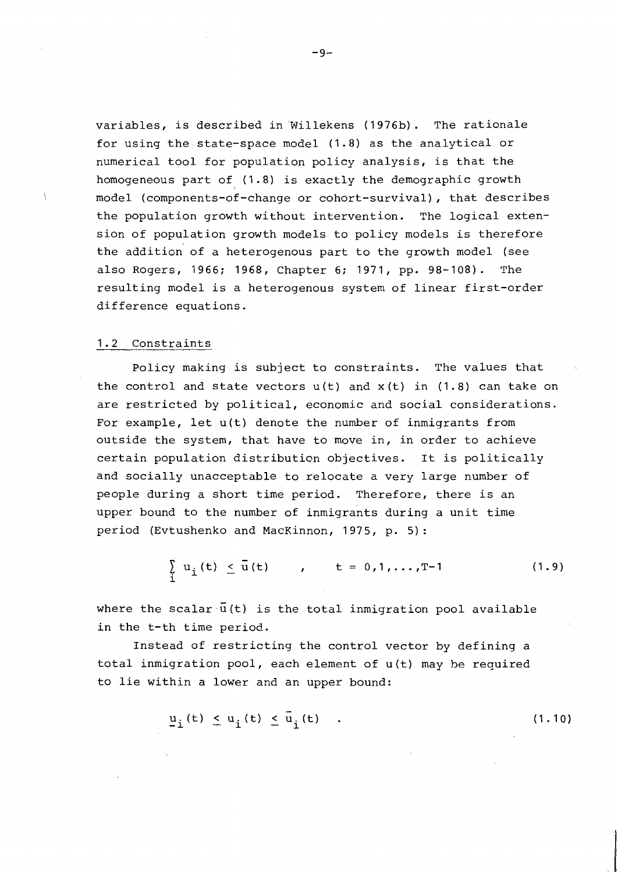variables, is described in Willekens (1976b). The rationale for using the state-space model (1.8) as the analytical or numerical tool for population policy analysis, is that the homogeneous part of (1.8) is exactly the demographic growth model (components-of-change or cohort-survival), that describes the population growth without intervention. The logical extension of population growth models to policy models is therefore the addition of a heterogenous part to the growth model (see also Rogers, 1966; 1968, Chapter 6; 1971, pp. 98-108). The resulting model is a heterogenous system of linear first-order difference equations.

#### 1.2 Constraints

Policy making is subject to constraints. The values that the control and state vectors  $u(t)$  and  $x(t)$  in (1.8) can take on are restricted by political, economic and social considerations. For example, let u(t) denote the number of inmigrants from outside the system, that have to move in, in order to achieve certain population distribution objectives. It is politically and socially unacceptable to relocate a very large number of people during a short time period. Therefore, there is an upper bound to the number of inmigrants during a unit time period (Evtushenko and MacKinnon, 1975, p. 5):

$$
\sum_{i} u_{i}(t) \leq \bar{u}(t) \qquad , \qquad t = 0, 1, ..., T-1 \qquad (1.9)
$$

where the scalar  $\bar{u}(t)$  is the total inmigration pool available in the t-th time period.

Instead of restricting the control vector by defining a total inmigration pool, each element of u(t) may he required to lie within a lower and an upper bound:

$$
\mathbf{u}_{i}(t) \leq \mathbf{u}_{i}(t) \leq \bar{\mathbf{u}}_{i}(t) . \qquad (1.10)
$$

 $-9-$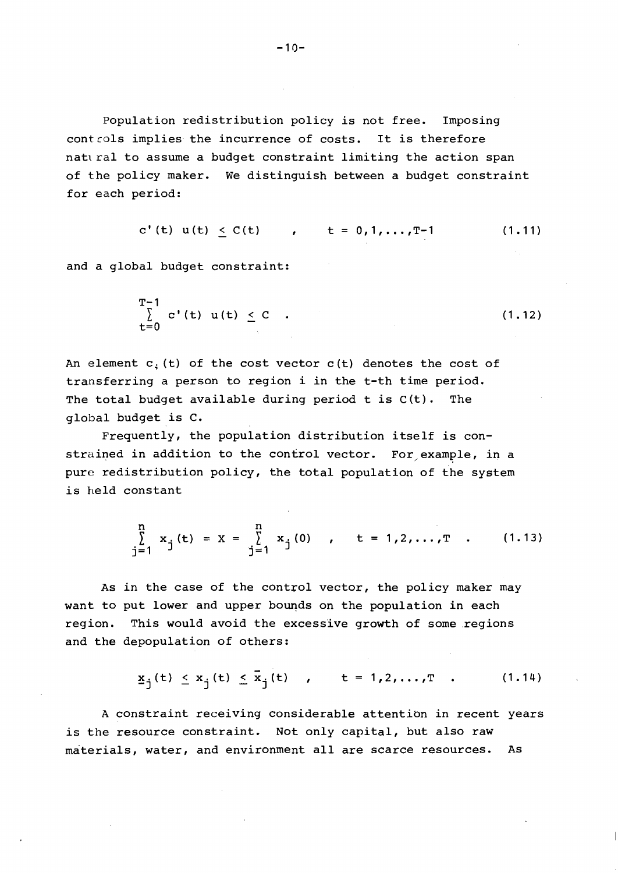Population redistribution policy is not free. Imposing controls implies the incurrence of costs. It is therefore natural to assume a budget constraint limiting the action span of the policy maker. We distinguish between a budget constraint for each period:

c'(t) 
$$
u(t) < C(t)
$$
,  $t = 0, 1, \ldots, T-1$  (1.11)

and a global budget constraint:

$$
\sum_{t=0}^{T-1} c'(t) u(t) \leq C \quad . \tag{1.12}
$$

An element  $c_i$  (t) of the cost vector  $c(t)$  denotes the cost of transferring a person to region i in the t-th time period. The total budget available during period t is  $C(t)$ . The global budget is C.

Frequently, the population distribution itself is constrained in addition to the control vector. For example, in a pure redistribution policy, the total population of the system is held constant

$$
\sum_{j=1}^{n} x_{j}(t) = X = \sum_{j=1}^{n} x_{j}(0) , \quad t = 1, 2, ..., T .
$$
 (1.13)

As in the case of the control vector, the policy maker may want to put lower and upper bounds on the population in each region. This would avoid the excessive growth of some.regions and the depopulation of others:

$$
\underline{x}_{j}(t) \leq x_{j}(t) \leq \overline{x}_{j}(t)
$$
,  $t = 1, 2, ..., T$ . (1.14)

**A** constraint receiving considerable attention in recent years is the resource constraint. Not only capital, but also raw materials, water, and environment all are scarce resources. As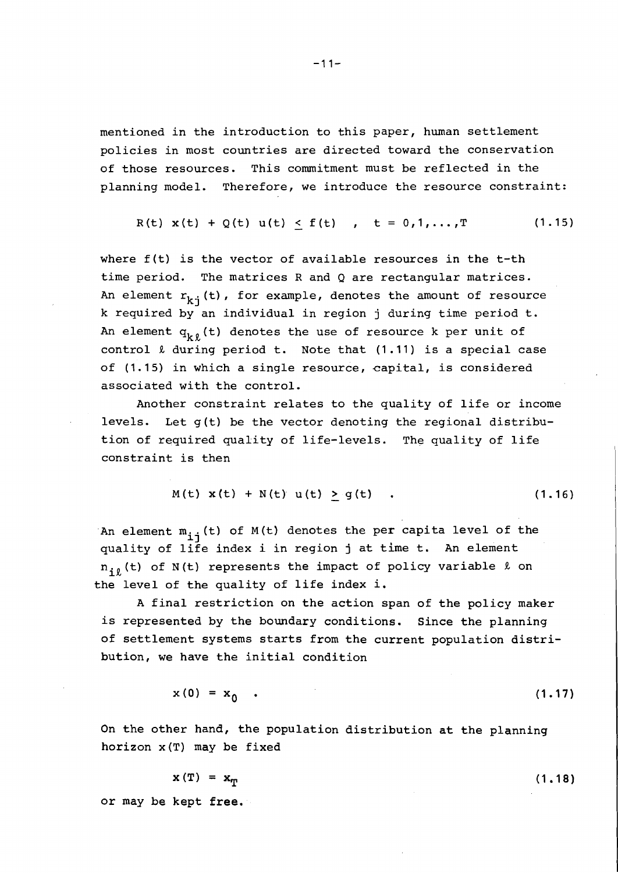mentioned in the introduction to this paper, human settlement policies in most countries are directed toward the conservation of those resources. This commitment must be reflected in the planning model. Therefore, we introduce the resource constraint:

$$
R(t) x(t) + Q(t) u(t) \le f(t), \quad t = 0,1,...,T
$$
 (1.15)

where  $f(t)$  is the vector of available resources in the  $t-th$ time period. The matrices R and Q are rectangular matrices. An element  $r_{k,i}(t)$ , for example, denotes the amount of resource k required by an individual in region **j** during time period t. An element  $q_{k\theta}$  (t) denotes the use of resource k per unit of control  $\ell$  during period t. Note that (1.11) is a special case of (1.15) in which a single resource, capital, is considered associated with the control.

Another constraint relates to the quality of life or income levels. Let g(t) be the vector denoting the regional distribution of required quality of life-levels. The quality of life constraint is then

$$
M(t) x(t) + N(t) u(t) \ge g(t)
$$
 (1.16)

An element  $m_{i,j}$  (t) of M(t) denotes the per capita level of the quality of life index i in region j at time t. An element  $n_{i\ell}$  (t) of N(t) represents the impact of policy variable  $\ell$  on the level of the quality of life index i.

A final restriction on the action span of the policy maker is represented by the boundary conditions. Since the planning of settlement systems starts from the current population distribution, we have the initial condition

$$
x(0) = x_0 \tag{1.17}
$$

On the other hand, the population distribution at the planning horizon  $x(T)$  may be fixed

$$
\mathbf{x}(\mathbf{T}) = \mathbf{x}_{\mathbf{r}} \tag{1.18}
$$

or may be kept free.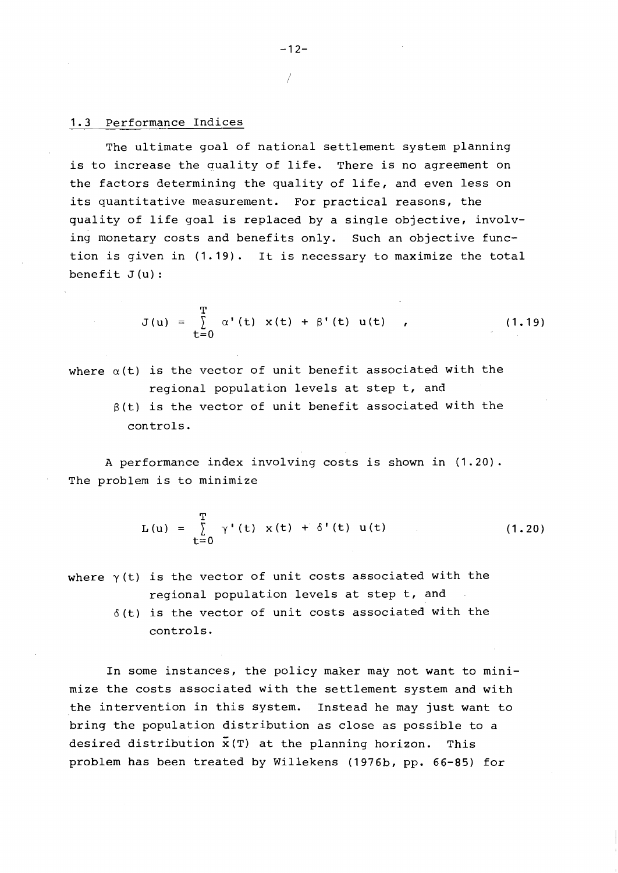#### 1.3 Performance Indices

The ultimate goal of national settlement system planning is to increase the quality of life. There is no agreement on the factors determining the quality of life, and even less on its quantitative measurement. For practical reasons, the quality of life goal is replaced by a single objective, involving monetary costs and benefits only. Such an objective function is given in (1.19). It is necessary to maximize the total benefit  $J(u)$ :

$$
J(u) = \sum_{t=0}^{T} \alpha'(t) x(t) + \beta'(t) u(t), \qquad (1.19)
$$

where 
$$
\alpha(t)
$$
 is the vector of unit benefit associated with the regional population levels at step t, and  $\beta(t)$  is the vector of unit benefit associated with the controls.

A performance index involving costs is shown in (1.20). The problem is to minimize

$$
L (u) = \sum_{t=0}^{T} \gamma'(t) x(t) + \delta'(t) u(t) \qquad (1.20)
$$

where  $\gamma(t)$  is the vector of unit costs associated with the regional population levels at step t, and

> $\delta(t)$  is the vector of unit costs associated with the controls.

In some instances, the policy maker may not want to minimize the costs associated with the settlement system and with the intervention in this system. Instead he may just want to bring the population distribution as close as possible to a desired distribution  $\bar{x}(T)$  at the planning horizon. This problem has been treated by Willekens (1976b, pp. 66-85) for

 $\prime$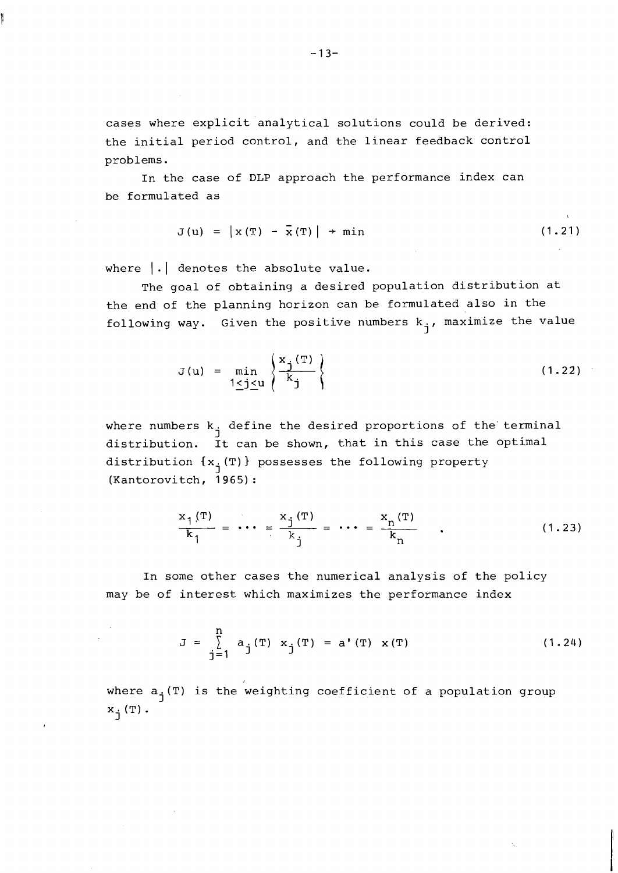cases where explicit analytical solutions could be derived: the initial period control, and the linear feedback control problems.

In the case of DLP approach the performance index can be formulated as

$$
J(u) = |x(T) - \overline{x}(T)| \rightarrow min
$$
 (1.21)

where  $| \cdot |$  denotes the absolute value.

The goal of obtaining a desired population distribution at the end of the planning horizon can be formulated also in the following way. Given the positive numbers  $k_{\text{j}}$ , maximize the value

$$
J(u) = \min_{1 \le j \le u} \left\{ \frac{x_j(T)}{k_j} \right\} \tag{1.22}
$$

where numbers  $k_i$  define the desired proportions of the terminal distribution. It can be shown, that in this case the optimal distribution  $\{x_i(T)\}\)$  possesses the following property (Kantorovitch, 1965) :

$$
\frac{x_1(T)}{k_1} = \cdots = \frac{x_j(T)}{k_j} = \cdots = \frac{x_n(T)}{k_n}
$$
 (1.23)

In some other cases the numerical analysis of the policy may be of interest which maximizes the performance index

$$
J = \sum_{j=1}^{n} a_j(T) x_j(T) = a'(T) x(T)
$$
 (1.24)

where  $a_i(T)$  is the weighting coefficient of a population group  $x_j(T)$ .

 $-13-$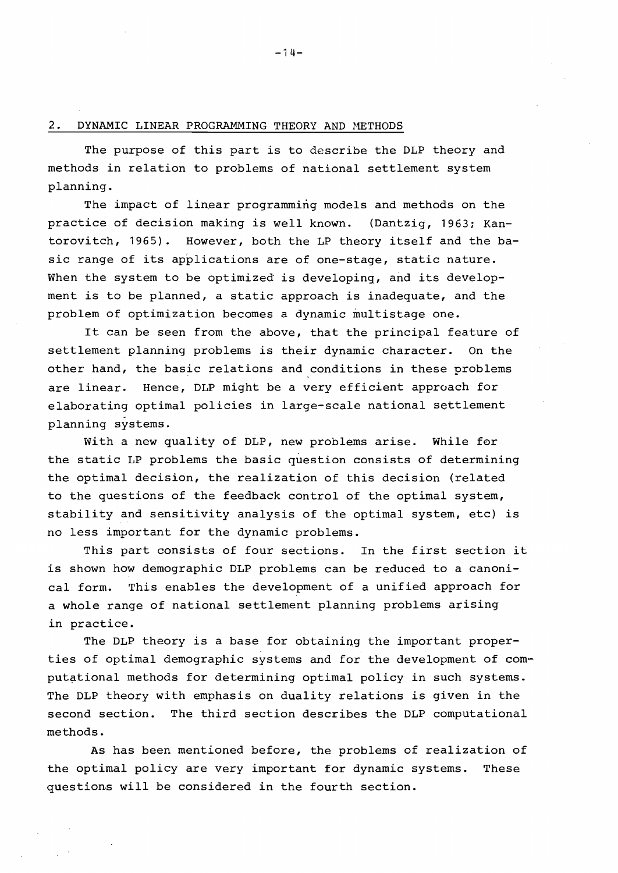#### 2. DYNAMIC LINEAR PROGRAMMING THEORY AND METHODS

The purpose of this part is to describe the DLP theory and methods in relation to problems of national settlement system planning.

The impact of linear programming models and methods on the practice of decision making is well known. (Dantzig, 1963; Kantorovitch, 1965). However, both the LP theory itself and the basic range of its applications are of one-stage, static nature. When the system to be optimized is developing, and its development is to be planned, a static approach is inadequate, and the problem of optimization becomes a dynamic multistage one.

It can be seen from the above, that the principal feature of settlement planning problems is their dynamic character. On the other hand, the basic relations and conditions in these problems are linear. Hence, DLP might be a very efficient approach for elaborating optimal policies in large-scale national settlement planning systems.

With a new quality of DLP, new problems arise. While for the static LP problems the basic question consists of determining the optimal decision, the realization of this decision (related to the questions of the feedback control of the optimal system, stability and sensitivity analysis of the optimal system, etc) is no less important for the dynamic problems.

This part consists of four sections. In the first section it is shown how demographic DLP problems can be reduced to a canonical form. This enables the development of a unified approach for a whole range of national settlement planning problems arising in practice.

The DLP theory is a base for obtaining the important properties of optimal demographic systems and for the development of computational methods for determining optimal policy in such systems. The DLP theory with emphasis on duality relations is given in the second section. The third section describes the DLP computational methods.

As has been mentioned before, the problems of realization of the optimal policy are very important for dynamic systems. These questions will be considered in the fourth section.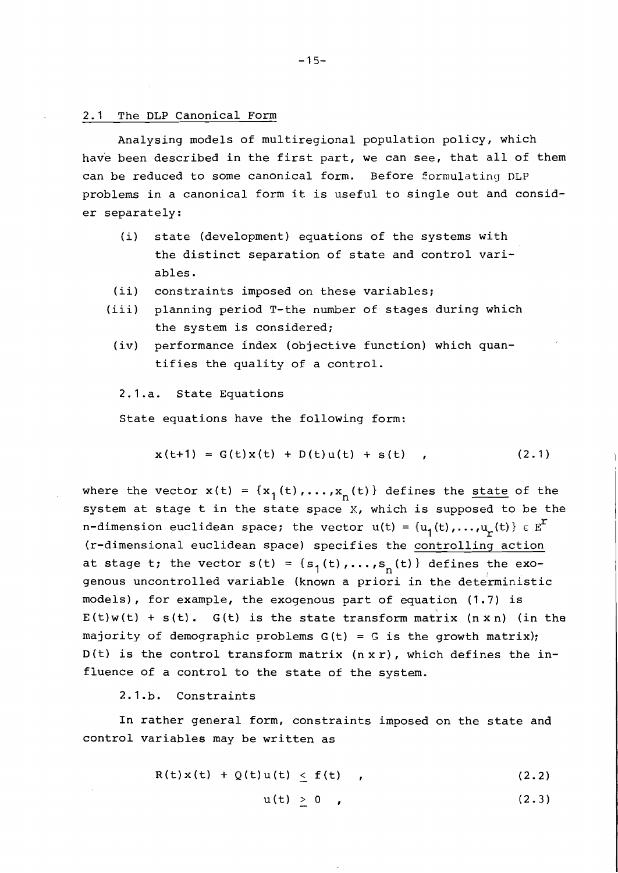#### 2.1 The DLP Canonical Form

Analysing models of multiregional population policy, which have been described in the first part, we can see, that all of them can be reduced to some canonical form. Before formulating DLP problems in a canonical form it is useful to single out and consider separately:

- (i) state (development) equations of the systems with the distinct separation of state and control variables.
- (ii) constraints imposed on these variables;
- (iii) planning period T-the number of stages during which the system is considered;
- (iv) performance index (objective function) which quantifies the quality of a control.
	- 2.1.a. State Equations

State equations have the following form:

$$
x(t+1) = G(t)x(t) + D(t)u(t) + s(t) \qquad (2.1)
$$

where the vector  $x(t) = {x_1(t), ..., x_n(t)}$  defines the state of the system at stage  $t$  in the state space  $X$ , which is supposed to be the n-dimension euclidean space; the vector  $u(t) = \{u_1(t), ..., u_r(t)\}\in E^r$ (r-dimensional euclidean space) specifies the controlling action at stage t; the vector  $s(t) = \{s_1(t), \ldots, s_n(t)\}\$  defines the exogenous uncontrolled variable (known a priori in the deterministic models), for example, the exogenous part of equation (1.7) is  $E(t)w(t) + s(t)$ . G(t) is the state transform matrix (n x n) (in the majority of demographic problems  $G(t) = G$  is the growth matrix);  $D(t)$  is the control transform matrix  $(n \times r)$ , which defines the influence of a control to the state of the system.

2.1.b. Constraints

In rather general form, constraints imposed on the state and control variables may be written as

$$
R(t)x(t) + Q(t)u(t) < f(t) , \qquad (2.2)
$$

 $u(t) > 0$ ,  $(2.3)$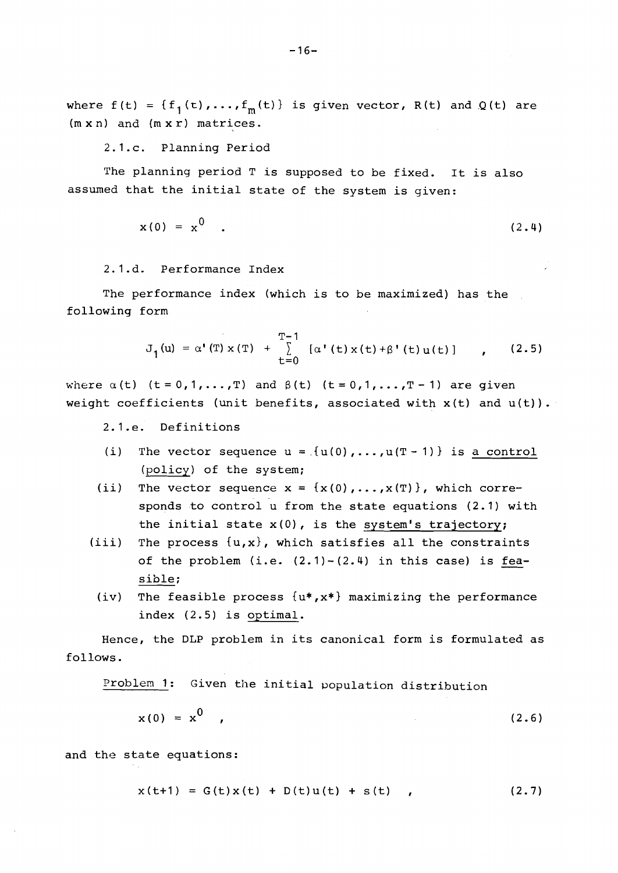where  $f(t) = {f_1(t), ..., f_m(t)}$  is given vector,  $R(t)$  and  $Q(t)$  are (m x n) and (m x r) matrices.

2.l.c. Planning Period

The planning period T is supposed to be fixed. It is also assumed that the initial state of the system is given:

> $x(0) = x^{0}$ .  $(2.4)$

2.l.d. Performance Index

The performance index (which is to be maximized) has the following form

$$
J_1(u) = \alpha'(T) x(T) + \sum_{t=0}^{T-1} [\alpha'(t) x(t) + \beta'(t) u(t)] , \qquad (2.5)
$$

where  $\alpha(t)$  (t=0,1,..., T) and  $\beta(t)$  (t=0,1,..., T-1) are given weight coefficients (unit benefits, associated with x(t) and u(t)).

2.l.e. Definitions

- (i) The vector sequence  $u = \{u(0), \ldots, u(T 1)\}\)$  is a control (policy) of the system;
- (ii) The vector sequence  $x = {x(0), \ldots, x(T)}$ , which correthe initial state  $x(0)$ , is the system's trajectory;
- sponds to control u from the state equations (2.1) with<br>the initial state  $x(0)$ , is the <u>system's trajectory</u>;<br>The process  $\{u,x\}$ , which satisfies all the constraints<br>of the problem (i.e. (2.1)-(2.4) in this case) is <u>f</u> (iii) The process  $\{u,x\}$ , which satisfies all the constraints sible;
	- (iv) The feasible process  $\{u^*,x^*\}$  maximizing the performance index (2.5) is optimal.

Hence, the DLP problem in its canonical form is formulated as follows.

Problem 1: Given the initial vopulation distribution

$$
x(0) = x^0 \qquad (2.6)
$$

and the state equations:

$$
x(t+1) = G(t)x(t) + D(t)u(t) + s(t) , \qquad (2.7)
$$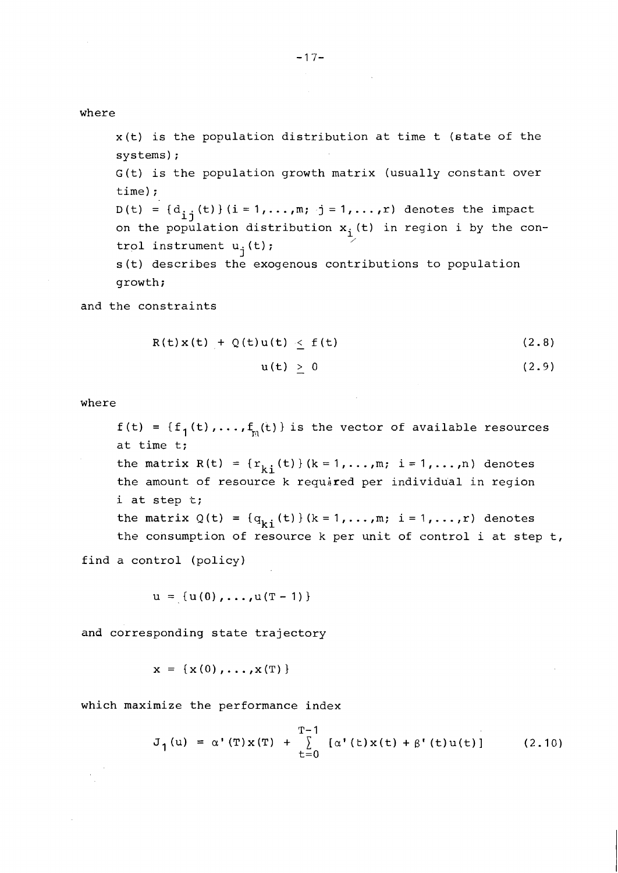x(t) is the population distribution at time t (state of the systems) ;

G(t) is the population growth matrix (usually constant over time) ;

 $D(t) = {d_i \choose i} (t) (i = 1, ..., m; j = 1, ..., r)$  denotes the impact on the population distribution  $x_i(t)$  in region i by the control instrument  $u_j(t)$ ;

s(t) describes the exogenous contributions to population growth;

and the constraints

$$
R(t)x(t) + Q(t)u(t) \leq f(t) \qquad (2.8)
$$

$$
u(t) > 0 \tag{2.9}
$$

where

 $f(t) = {f_1(t),...,f_n(t)}$  is the vector of available resources at time t; the matrix  $R(t) = {r_{ki}(t)}(k = 1,...,m; i = 1,...,n)$  denotes the amount of resource k requiired per individual in region **i** at step t; the matrix  $Q(t) = {q_{ki} (t)} (k = 1,...,m; i = 1,...,r)$  denotes the consumption of resource k per unit of control i at step t,

find a control (policy)

 $u = {u(0),...,u(T-1)}$ 

and corresponding state trajectory

$$
\mathbf{x} = \{ \mathbf{x}(0), \ldots, \mathbf{x}(T) \}
$$

which maximize the performance index

$$
J_1(u) = \alpha'(T)x(T) + \sum_{t=0}^{T-1} [\alpha'(t)x(t) + \beta'(t)u(t)] \qquad (2.10)
$$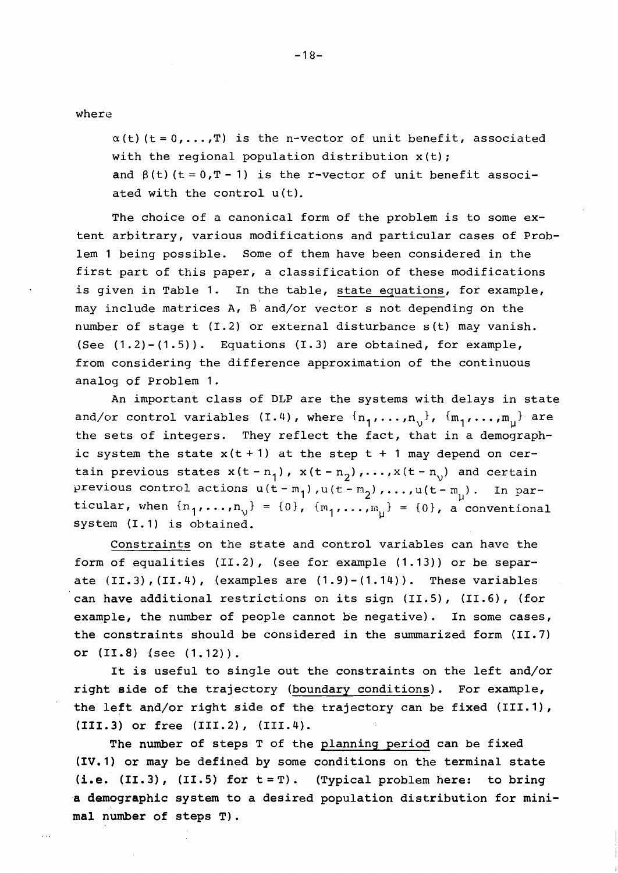where

 $\bar{a}$  ,  $\bar{a}$ 

 $\alpha(t)$  (t = 0,..., T) is the n-vector of unit benefit, associated with the regional population distribution  $x(t)$ ; and  $\beta(t)$  (t = 0, T - 1) is the r-vector of unit benefit associated with the control u(t).

The choice of a canonical form of the problem is to some extent arbitrary, various modifications and particular cases of Problem 1 being possible. Some of them have been considered in the first part of this paper, a classification of these modifications is given in Table 1. In the table, state equations, for example, may include matrices A, B and/or vector s not depending on the number of stage t (1.2) or external disturbance s(t) may vanish. (See  $(1.2)-(1.5)$ ). Equations  $(1.3)$  are obtained, for example, from considering the difference approximation of the continuous analog of Problem 1.

An important class of DLP are the systems with delays in state and/or control variables  $(1.4)$ , where  ${n_1, \ldots, n_{\nu}}$ ,  ${m_1, \ldots, m_{\nu}}$  are the sets of integers. They reflect the fact, that in a demographic system the state  $x(t + 1)$  at the step  $t + 1$  may depend on certain previous states  $x(t - n_1)$ ,  $x(t - n_2)$ , ..., $x(t - n_1)$  and certain previous control actions  $u(t - m_1)$ ,  $u(t - m_2)$ , ...,  $u(t - m_u)$ . In particular, when  $\{n_1,\ldots,n_\nu\} = \{0\}$ ,  $\{m_1,\ldots,m_\mu\} = \{0\}$ , a conventional system (I. 1) is obtained.

Constraints on the state and control variables can have the form of equalities (II.2), (see for example  $(1.13)$ ) or be separate  $(II.3)$ ,  $(II.4)$ ,  $(examples are (1.9)-(1.14))$ . These variables can have additional restrictions on its sign (II.5), (II.6), (for example, the number of people cannot be negative). In some cases, the constraints should be considered in the summarized form (11.7) or  $(II.8)$  (see  $(1.12)$ ).

It is useful to single out the constraints on the left and/or right side of the trajectory (boundary conditions). For example, the left and/or right side of the trajectory can be fixed (III.1), (III.3) or free (III.2), (III.4).

The number of steps T of the planning period can be fixed (IV.1) or may be defined by some conditions on the terminal state (i.e.  $(II.3)$ ,  $(II.5)$  for  $t=T$ ). (Typical problem here: to bring a demographic system to a desired population distribution for minimal number of steps T).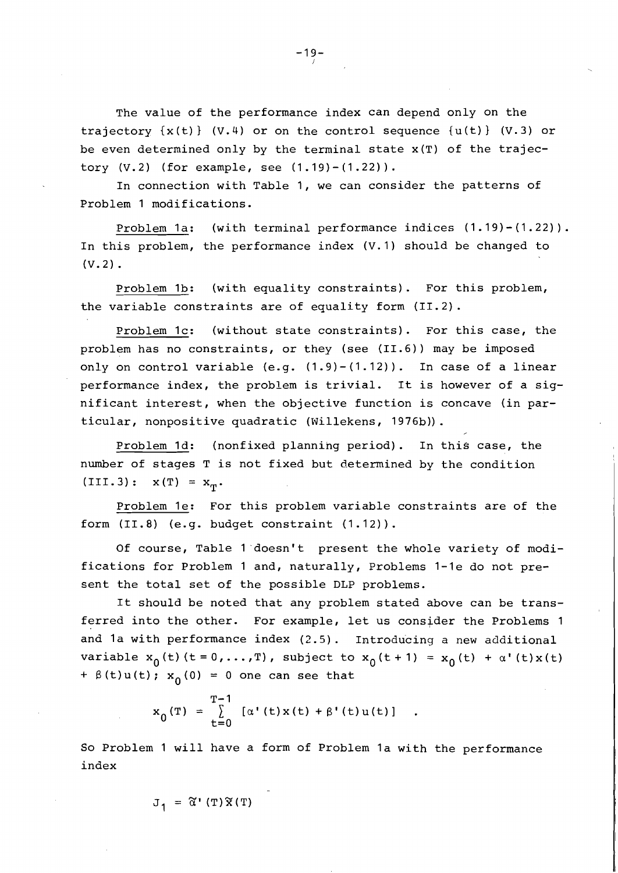The value of the performance index can depend only on the trajectory  $\{x(t)\}$  (V.4) or on the control sequence  $\{u(t)\}$  (V.3) or be even determined only by the terminal state  $x(T)$  of the trajectory  $(V.2)$  (for example, see  $(1.19)-(1.22)$ ).

In connection with Table 1, we can consider the patterns of Problem 1 modifications.

Problem 1a: (with terminal performance indices (1.19)-(1.22)). In this problem, the performance index (V.1) should be changed to  $(V. 2)$ .

Problem Ib: (with equality constraints). For this problem, the variable constraints are of equality form (11.2).

Problem Ic: (without state constraints). For this case, the problem has no constraints, or they (see (11.6)) may be imposed only on control variable (e.g.  $(1.9) - (1.12)$ ). In case of a linear performance index, the problem is trivial. It is however of a significant interest, when the objective function is concave (in particular, nonpositive quadratic (Willekens, 1976b)).

Problem Id: (nonfixed planning period). In this case, the number of stages T is not fixed but determined by the condition  $(TII.3): x(T) = x_m.$ 

Problem le: For this problem variable constraints are of the form (11.8) (e.g. budget constraint (1.12)).

Of course, Table 1 'doesn't present the whole variety of modifications for Problem 1 and, naturally, Problems 1-le do not present the total set of the possible DLP problems.

It should be noted that any problem stated above can be transferred into the other. For example, let us consider the Problems 1 and  $1a$  with performance index  $(2.5)$ . Introducing a new additional variable  $x_0(t)$  (t = 0,..., T), subject to  $x_0(t + 1) = x_0(t) + \alpha'(t)x(t)$ +  $\beta(t)u(t)$ ;  $x_0(0) = 0$  one can see that

$$
x_0(T) = \sum_{t=0}^{T-1} [\alpha'(t)x(t) + \beta'(t)u(t)] .
$$

So Problem 1 will have a form of Problem la with the performance index

$$
J_1 = \widetilde{\alpha}^{\prime}(T) \widetilde{x}(T)
$$

-19-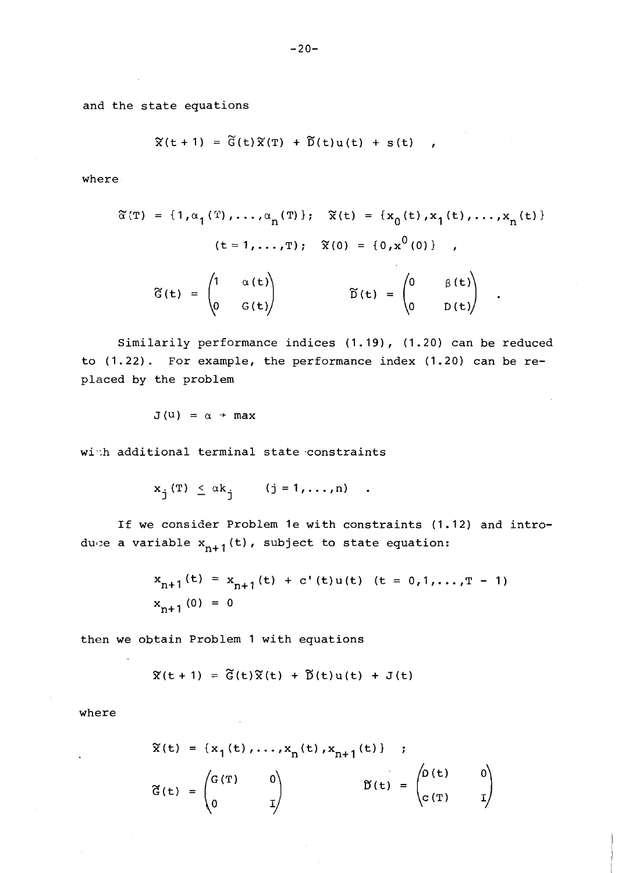and the state equations

$$
\widetilde{\chi}(t+1) = \widetilde{G}(t)\widetilde{\chi}(T) + \widetilde{D}(t)u(t) + s(t),
$$

where

$$
\widetilde{\alpha}(\mathbf{T}) = \{1, \alpha_1(\mathbf{T}), \dots, \alpha_n(\mathbf{T})\}; \quad \widetilde{\mathbf{x}}(t) = \{x_0(t), x_1(t), \dots, x_n(t)\}
$$

$$
(t = 1, \dots, \mathbf{T}); \quad \widetilde{\mathbf{x}}(0) = \{0, x^0(0)\} ,
$$

$$
\widetilde{\mathbf{G}}(t) = \begin{pmatrix} 1 & \alpha(t) \\ 0 & G(t) \end{pmatrix} \qquad \widetilde{\mathbf{D}}(t) = \begin{pmatrix} 0 & \beta(t) \\ 0 & D(t) \end{pmatrix} .
$$

Similarily performance indices (1.19) , (1.20) can be reduced to (1.22). For example, the performance index (1.20) can be replaced by the problem

$$
J(u) = \alpha + \max
$$

with additional terminal state constraints

$$
x_j(T) \leq \alpha k_j \qquad (j = 1, \ldots, n)
$$

If we consider Problem le with constraints (1.12) and introduce a variable  $x_{n+1}$  (t), subject to state equation:

$$
x_{n+1}(t) = x_{n+1}(t) + c'(t)u(t) \quad (t = 0, 1, ..., T - 1)
$$
  

$$
x_{n+1}(0) = 0
$$

then we obtain Problem 1 with equations

$$
\widetilde{\chi}(t+1) = \widetilde{G}(t)\widetilde{\chi}(t) + \widetilde{D}(t)u(t) + J(t)
$$

where

$$
\widetilde{x}(t) = \{x_1(t), \dots, x_n(t), x_{n+1}(t)\} ;
$$
  

$$
\widetilde{G}(t) = \begin{pmatrix} G(T) & 0 \\ 0 & I \end{pmatrix} \qquad \widetilde{D}(t) = \begin{pmatrix} D(t) & 0 \\ C(T) & I \end{pmatrix}
$$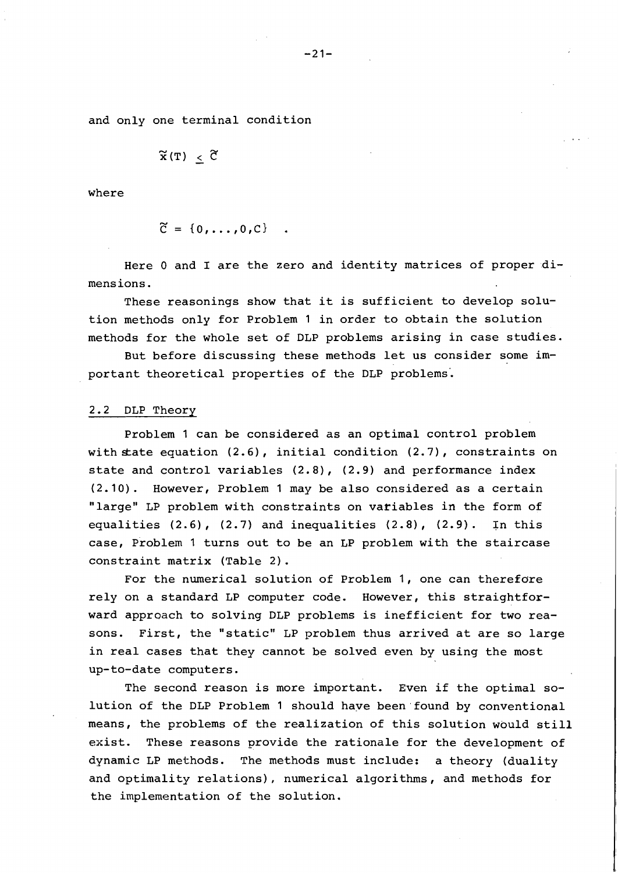and only one terminal condition

$$
\widetilde{\mathbf{x}}(\mathbf{T}) < \widetilde{\mathbf{C}}
$$

where

$$
\widetilde{C} = \{0, \ldots, 0, C\} \quad .
$$

Here 0 and I are the zero and identity matrices of proper dimensions.

These reasonings show that it is sufficient to develop solution methods only for Problem 1 in order to obtain the solution methods for the whole set of DLP problems arising in case studies.

But before discussing these methods let us consider some important theoretical properties of the DLP problems:

#### 2.2 DLP Theory

Problem 1 can be considered as an optimal control problem with state equation  $(2.6)$ , initial condition  $(2.7)$ , constraints on state and control variables (2.8), (2.9) and performance index (2.10). However, Problem 1 may be also considered as a certain "large" LP problem with constraints on variables in the form of equalities  $(2.6)$ ,  $(2.7)$  and inequalities  $(2.8)$ ,  $(2.9)$ . In this case, Problem 1 turns out to be an LP problem with the staircase constraint matrix (Table 2).

For the numerical solution of Problem 1, one can therefore rely on a standard LP computer code. However, this straightforward approach to solving DLP problems is inefficient for two reasons. First, the "static" LP problem thus arrived at are so large in real cases that they cannot be solved even by using the most up-to-date computers.

The second reason is more important. Even if the optimal solution of the DLP Problem 1 should have been'found by conventional means, the problems of the realization of this solution would still exist. These reasons provide the rationale for the development of dynamic LP methods. The methods must include: a theory (duality and optimality relations), numerical algorithms, and methods for the implementation of the solution.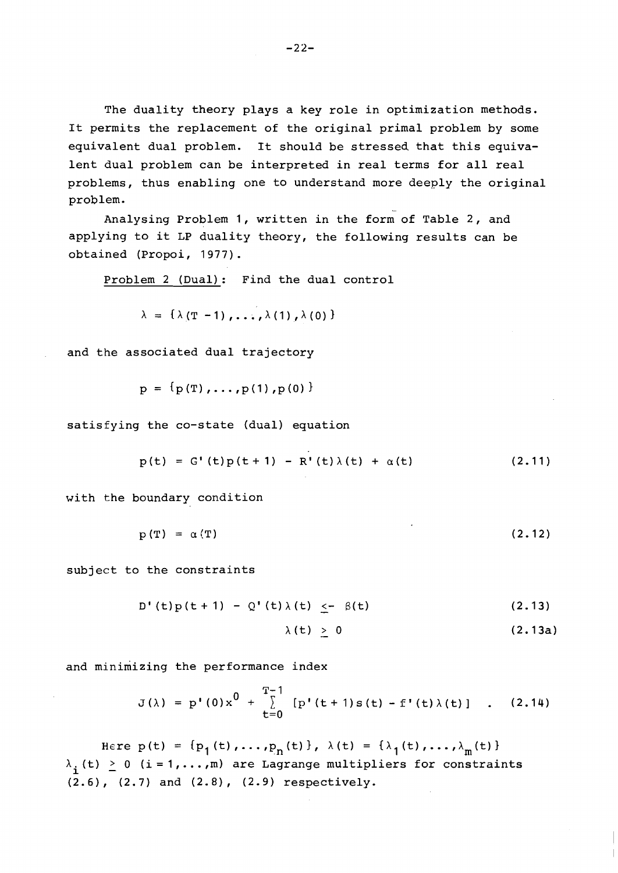The duality theory plays a key role in optimization methods. It permits the replacement of the original primal problem by some equivalent dual problem. It should be stressed that this equivalent dual problem can be interpreted in real terms for all real problems, thus enabling one to understand more deeply the original problem. **<sup>L</sup>**

Analysing Problem 1, written in the form of Table 2, and applying to it LP duality theory, the following results can be obtained (Propoi, 1977).

Problem 2 (Dual): Find the dual control

$$
\lambda = {\lambda (T - 1), \ldots, \lambda (1), \lambda (0)}
$$

and the associated dual trajectory

$$
p = \{p(T), \ldots, p(1), p(0)\}
$$

satisfying the co-state (dual) equation

$$
p(t) = G'(t)p(t+1) - R'(t)\lambda(t) + \alpha(t)
$$
 (2.11)

with the boundary condition

$$
p(T) = \alpha(T) \tag{2.12}
$$

subject to the constraints

$$
D'(t)p(t+1) - Q'(t)\lambda(t) \leftarrow \beta(t) \tag{2.13}
$$

$$
\lambda(t) > 0 \qquad (2.13a)
$$

and minimizing the performance index

$$
J(\lambda) = p'(0)x^{0} + \sum_{t=0}^{T-1} [p'(t+1)s(t) - f'(t)\lambda(t)] \quad . \quad (2.14)
$$

Here  $p(t) = {p_1(t), ..., p_n(t)}, \lambda(t) = {\lambda_1(t), ..., \lambda_m(t)}$  $\lambda_i(t) \geq 0$  (i=1,...,m) are Lagrange multipliers for constraints (2.6), (2.7) and (2.8), (2.9) respectively.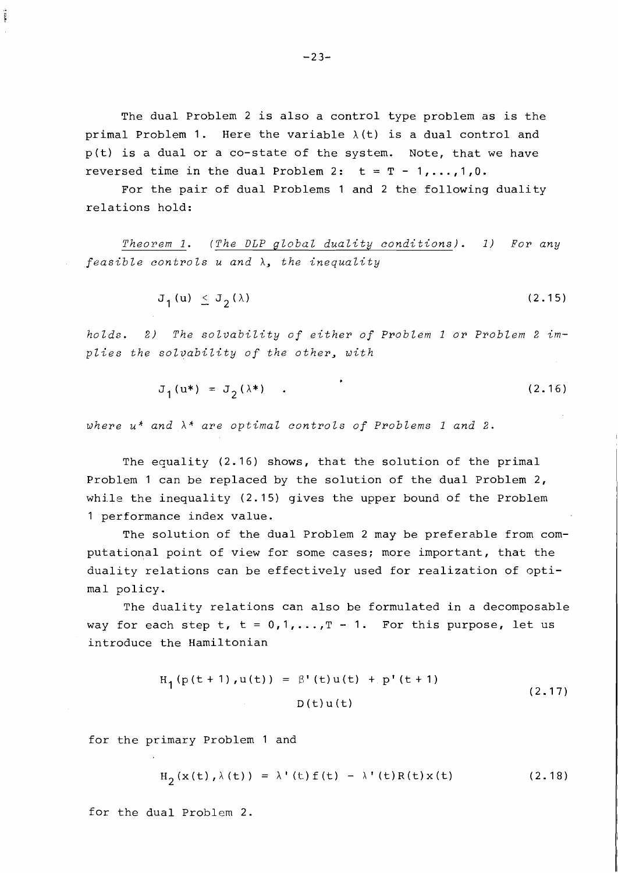The dual Problem 2 is also a control type problem as is the primal Problem 1. Here the variable  $\lambda(t)$  is a dual control and p(t) is a dual or a co-state of the system. Note, that we have reversed time in the dual Problem 2:  $t = T - 1, \ldots, 1, 0$ .

For the pair of dual Problems 1 and 2 the following duality relations hold:

*Theorem 1. (The DLP global duality conditions). I) For any feasible controls u and A, the inequality* 

$$
J_1(u) \leq J_2(\lambda) \tag{2.15}
$$

*holds.* 2) *The solvability of either of Problem 1 or Problem 2 implies the solvability of the other, with* 

$$
J_1(u^*) = J_2(\lambda^*) \qquad (2.16)
$$

where  $u^*$  and  $\lambda^*$  are optimal controls of Problems 1 and 2.

The equality (2.16) shows, that the solution of the primal Problem 1 can be replaced by the solution of the dual Problem 2, while the inequality (2.15) gives the upper bound of the Problem 1 performance index value.

The solution of the dual Problem 2 may be preferable from computational point of view for some cases; more important, that the duality relations can be effectively used for realization of optimal policy.

The duality relations can also be formulated in a decomposable way for each step t,  $t = 0, 1, ..., T - 1$ . For this purpose, let us introduce the Hamiltonian

$$
H_1(p(t+1), u(t)) = \beta'(t)u(t) + p'(t+1)
$$
\n
$$
D(t)u(t)
$$
\n(2.17)

for the primary Problem 1 and

$$
H_2(x(t),\lambda(t)) = \lambda'(t) f(t) - \lambda'(t) R(t) x(t)
$$
 (2.18)

for the dual Problem 2.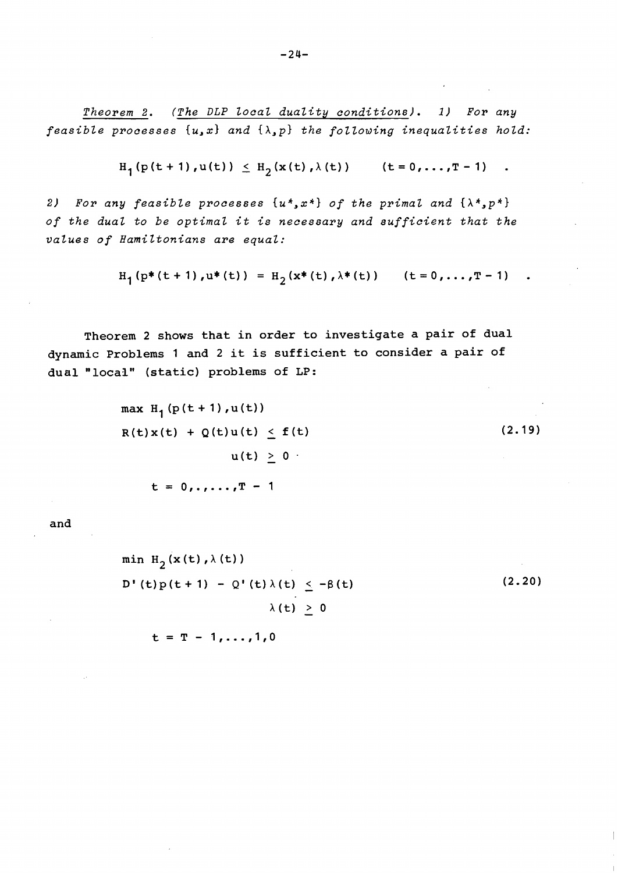**Theorem 2. (The DLP local duality conditions). 1) For any feasible processes Iu,x) and IA,p) the following inequalities hold:** 

$$
H_1(p(t+1), u(t)) \le H_2(x(t), \lambda(t))
$$
  $(t = 0, ..., T-1)$ .

2) For any feasible processes  $\{u^*, x^*\}$  of the primal and  $\{\lambda^*, p^*\}$ **of the dual to be optimal it is necessary and sufficient that the values of Hamiltonians are equal:** 

 $H_1(p^*(t+1), u^*(t)) = H_2(x^*(t), \lambda^*(t))$   $(t = 0, ..., T-1)$ 

**Theorem 2 shows that in order to investigate a pair of dual dynamic Problems 1 and 2 it is sufficient to consider a pair of dual "local" (static) problems of LP:** 

max H<sub>1</sub> (p(t+1),u(t))  
R(t)x(t) + Q(t)u(t) 
$$
\leq f(t)
$$
 (2.19)  
u(t)  $\geq 0$ 

**and** 

$$
\min_{\lambda} H_2(x(t), \lambda(t))
$$
  
D'(t)p(t+1) - Q'(t)\lambda(t) \le -\beta(t)  

$$
\lambda(t) \ge 0
$$
 (2.20)

 $t = T - 1, ..., 1, 0$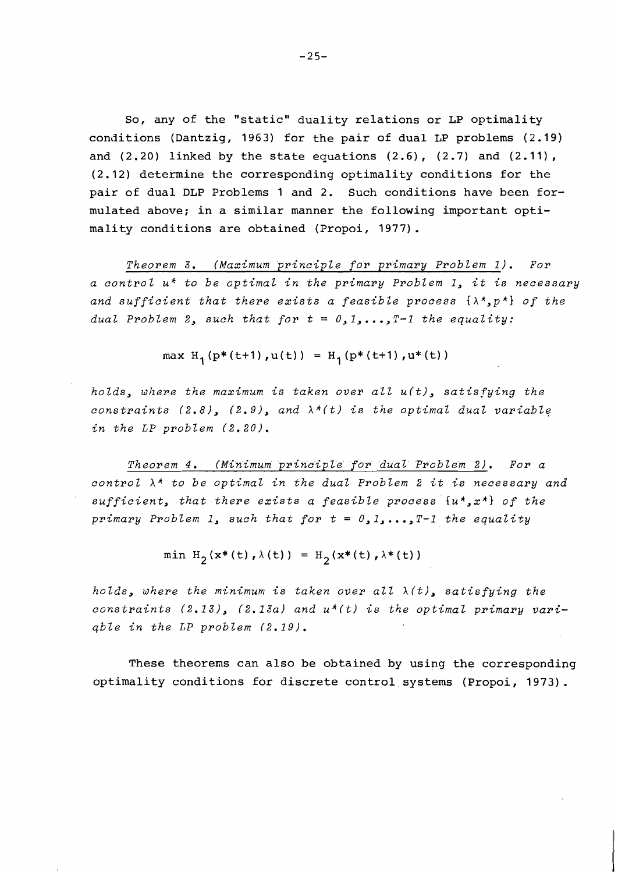So, any of the "static" duality relations or LP optimality conditions (Dantzig, 1963) for the pair of dual LP problems (2.19) and  $(2.20)$  linked by the state equations  $(2.6)$ ,  $(2.7)$  and  $(2.11)$ , (2.12) determine the corresponding optimality conditions for the pair of dual DLP Problems 1 and 2. Such conditions have been formulated above; in a similar manner the following important optimality conditions are obtained (Propoi, 1977) .

*Theorem 3. (Maximum principle for primary Problem I). For a control u\* to be optimal in the primary Problem I, it is necessary*  and sufficient that there exists a feasible process  $\{\lambda^*, p^*\}$  of the *dual Problem 2, such that for t* <sup>=</sup>*O,I,. ..,T-1 the equality:* 

max  $H_1(p^*(t+1), u(t)) = H_1(p^*(t+1), u^*(t))$ 

holds, where the maximum is taken over all  $u(t)$ , satisfying the *constraints (2.8), (2.9), and X\*(t) is the optimal dual variable in the LP problem (2.20).* 

*Theorem 4. (Minimum principle for dual Problem* 2). *For a control A\* to be optimal in the dual Problem 2 it is necessary and*  sufficient, that there exists a feasible process  $\{u^*, x^*\}$  of the *primary Problem I, such that for t* <sup>=</sup>*O,I,* ..., *T-I the equality* 

*holds, where the minimum is taken over all X(t), satisfying the constraints (2.13), (2.13a) and u\*(t) is the optimal primary variable in the LP problem (2.19).* 

These theorems can also be obtained by using the corresponding optimality conditions for discrete control systems (Propoi, 1973).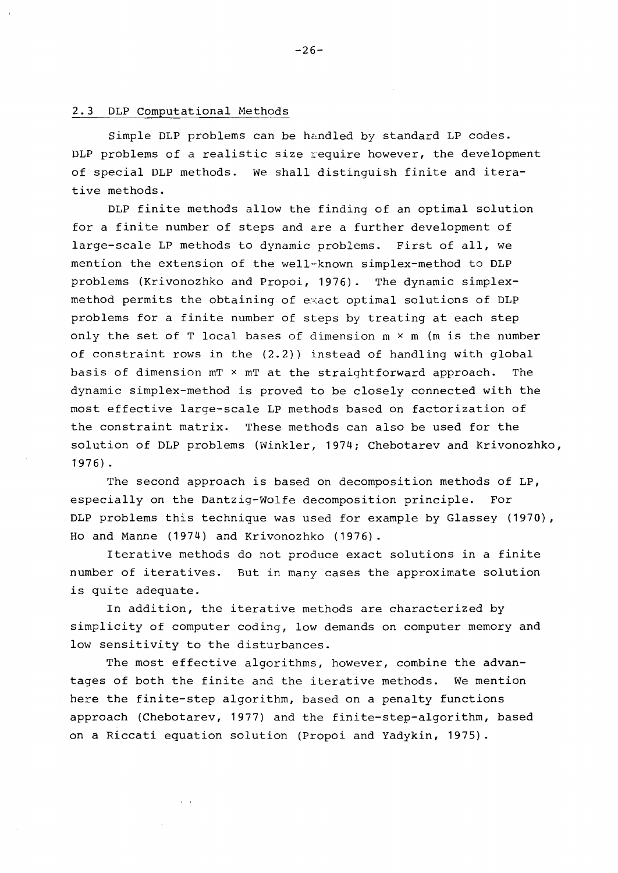#### 2.3 DLP Computational Methods

Simple DLP problems can be hadled by standard LP codes.  $DLP$  problems of a realistic size require however, the development of special DLP methods. We shall distinguish finite and iterative methods.

DLP finite methods allow the finding of an optimal solution for a finite number of steps and are a further development of large-scale LP methods to dynamic problems. First of all, we mention the extension of the well--known simplex-method to DLP problems (Krivonozhko and Propoi, 1976). The dynamic simplexmethod permits the obtaining of exact optimal solutions of DLP problems for a finite number of steps by treating at each step only the set of T local bases of dimension  $m \times m$  (m is the number of constraint rows in the (2.2)) instead of handling with global basis of dimension  $mT \times mT$  at the straightforward approach. The dynamic simplex-method is proved to be closely connected with the most effective large-scale LP methods based on factorization of the constraint matrix. These methods can also be used for the solution of DLP problems (Winkler, 1974; Chebotarev and Krivonozhko, 1976) .

The second approach is based on decomposition methods of LP, especially on the Dantzig-Wolfe decomposition principle. For DLP problems this technique was used for example by Glassey (1970), Ho and Manne (1974) and Krivonozhko (1976).

Iterative methods do not produce exact solutions in a finite number of iteratives. But in many cases the approximate solution is quite adequate.

In addition, the iterative methods are characterized by simplicity of computer codinq, low demands on computer memory and low sensitivity to the disturbances.

The most effective algorithms, however, combine the advantages of both the finite and the iterative methods. We mention here the finite-step algorithm, based on a penalty functions approach (Chebotarev, 1977) and the finite-step-algorithm, based on a Riccati equation solution (Propoi and Yadykin, 1975).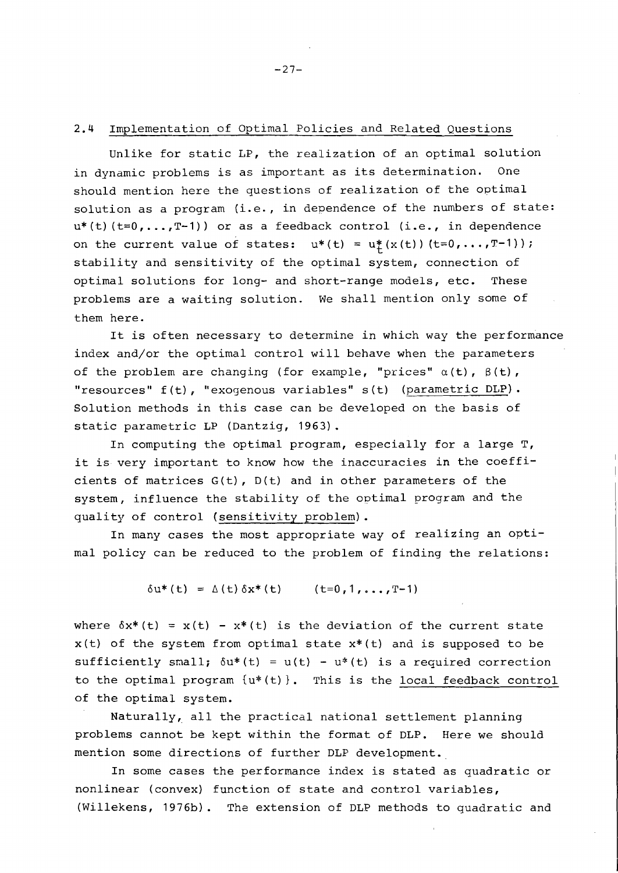#### 2.4 Implementation of Optimal Policies and Related Questions

Unlike for static LP, the realization of an optimal solution in dynamic problems is as important as its determination. One should mention here the questions of realization of the optimal solution as a program (i.e., in dependence of the numbers of state:  $u^*(t)$  (t=0,..., T-1)) or as a feedback control (i.e., in dependence on the current value of states:  $u^*(t) = u^*_+(x(t))$  (t=0,...,T-1)); stability and sensitivity of the optimal system, connection of optimal solutions for long- and short-range models, etc. These problems are a waiting solution. We shall mention only some of them here.

It is often necessary to determine in which way the performance index and/or the optimal control will behave when the parameters of the problem are changing (for example, "prices"  $\alpha(t)$ ,  $\beta(t)$ , "resources"  $f(t)$ , "exogenous variables" s(t) (parametric DLP). Solution methods in this case can be developed on the basis of static parametric LP (Dantzig, 1963).

In computing the optimal program, especially for a large T, it is very important to know how the inaccuracies in the coefficients of matrices G(t), D(t) and in other parameters of the system, influence the stability of the optimal program and the quality of control (sensitivity problem).

In many cases the most appropriate way of realizing an optimal policy can be reduced to the problem of finding the relations:

 $\delta u^*(t) = \Delta(t) \delta x^*(t)$  (t=0,1,...,T-1)

where  $\delta x^*(t) = x(t) - x^*(t)$  is the deviation of the current state  $x(t)$  of the system from optimal state  $x^*(t)$  and is supposed to be sufficiently small;  $\delta u^*(t) = u(t) - u^*(t)$  is a required correction to the optimal program {u\*(t)). This is the local feedback control of the optimal system.

Naturally, all the practical national settlement planning problems cannot be kept within the format of DLP. Here we should mention some directions of further DLP development.

In some cases the performance index is stated as quadratic or nonlinear (convex) function of state and control variables, (Willekens, 1976b). The extension of DLP methods to quadratic and

 $-27-$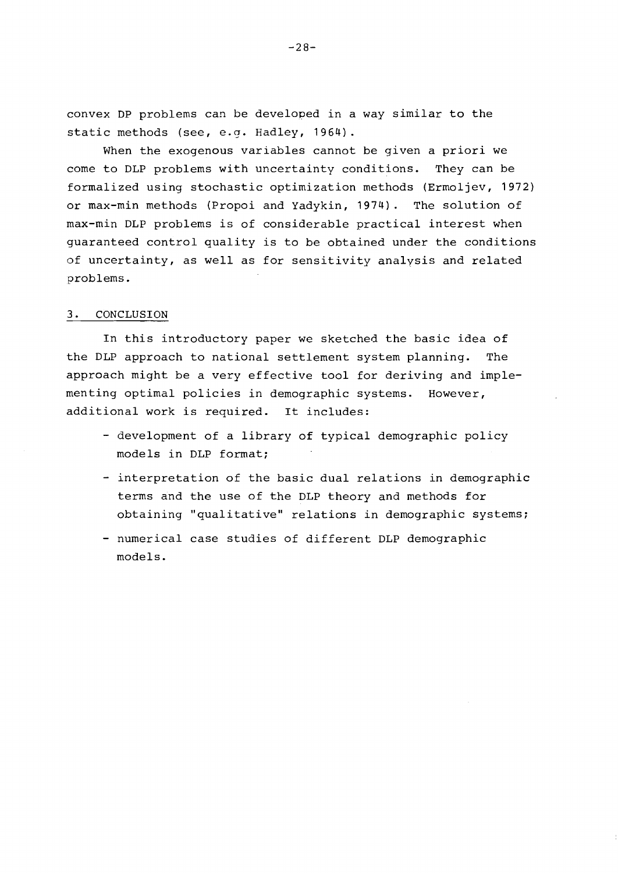convex DP problems can be developed in a way similar to the static methods (see, e.g. Hadley, 1964).

When the exogenous variables cannot be given a priori we come to DLP problems with uncertainty conditions. They can be formalized using stochastic optimization methods (Ermoljev, 1972) or max-min methods (Propoi and Yadykin, 1974). The solution of max-min DLP problems is of considerable practical interest when guaranteed control quality is to be obtained under the conditions of uncertainty, as well as for sensitivity analysis and related problems.

#### 3. CONCLUSION

In this introductory paper we sketched the basic idea of the DLP approach to national settlement system planning. The approach might be a very effective tool for deriving and implementing optimal policies in demographic systems. However, additional work is required. It includes:

- development of a library of typical demographic policy models in DLP format;
- interpretation of the basic dual relations in demographic terms and the use of the DLP theory and methods for obtaining "qualitative" relations in demographic systems;
- numerical case studies of different DLP demographic models.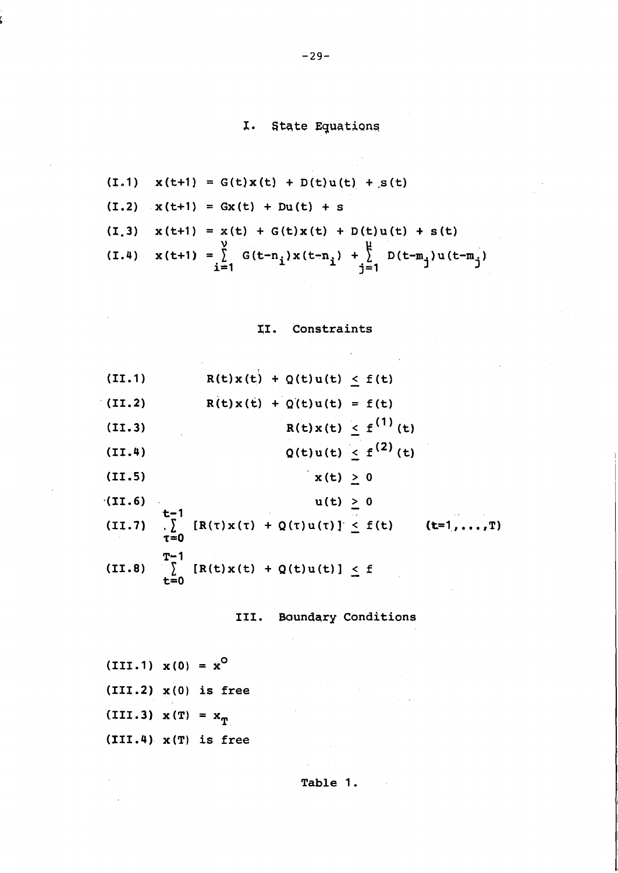# I. State Equations

**h**<br> **h**<br> **h**<br> **h**<br> **h**<br> **h**<br> **h**<br> **h** (I.<br>(I.<br>(I. (I.1)  $x(t+1) = G(t)x(t) + D(t)u(t) + s(t)$ <br>
(I.2)  $x(t+1) = Gx(t) + Du(t) + s$ <br>
(I.3)  $x(t+1) = x(t) + G(t)x(t) + D(t)u(t) + s(t)$ <br>
(I.4)  $x(t+1) = \sum_{i=1}^{V} G(t-n_i)x(t-n_i) + \sum_{j=1}^{V} D(t-m_j)u(t-m_j)$ .1<br>.2<br>.3<br>.4 1)<br>2)<br>3)<br>4) **XXXX x** (1<br>**x** (1<br>**x** (1<br>**x** (1 **rtrtrtrt**  ++++ +1<br>+1<br>+1<br>+1 1)<br>1)<br>1)<br>1)

II. Constraints

(II.1) 
$$
R(t)x(t) + Q(t)u(t) \le f(t)
$$
  
\n(II.2)  $R(t)x(t) + Q(t)u(t) = f(t)$   
\n(II.3)  $R(t)x(t) \le f^{(1)}(t)$   
\n(II.4)  $Q(t)u(t) \le f^{(2)}(t)$   
\n(II.5)  $x(t) \ge 0$   
\n(II.6)  $t-1$   
\n(II.7)  $\sum_{\tau=0}^{t-1} [R(\tau)x(\tau) + Q(\tau)u(\tau)] \le f(t)$   $(t=1,...,T)$   
\n(II.8)  $\sum_{t=0}^{T-1} [R(t)x(t) + Q(t)u(t)] \le f$ 

# III. Boundary Conditions

- $(III.1) x(0) = x^0$
- $(III.2)$   $x(0)$  is free
- $(LII.3) \times (T) = x_T$
- $(III.4)$   $x(T)$  is free

## Table 1.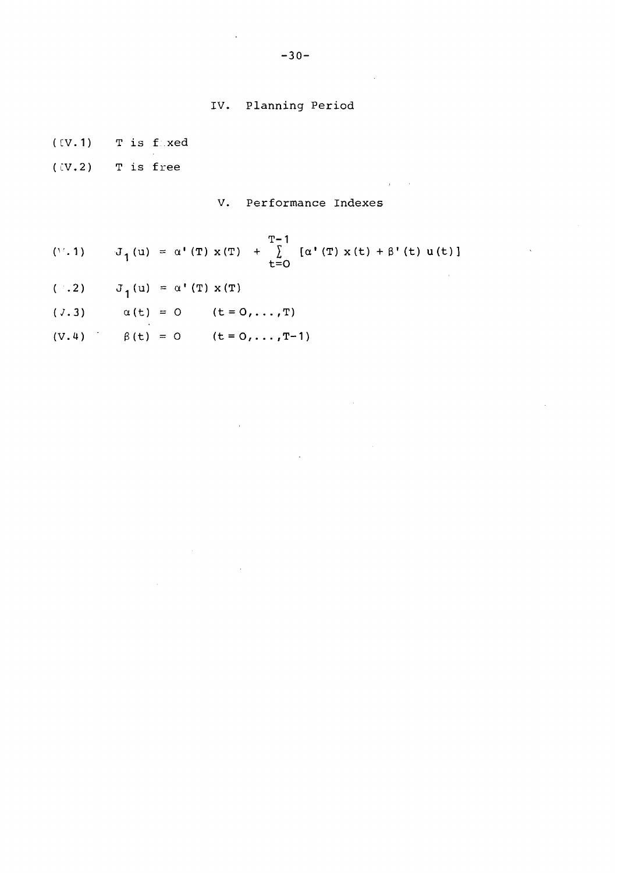# **IV. Planning Period**

- $(V.1)$  T is faxed
- **(iV.2) T is free**

**V. Performance Indexes** 

 $\sim 10$ 

(11) 
$$
J_1(u) = \alpha'(T) x(T) + \sum_{t=0}^{T-1} [\alpha'(T) x(t) + \beta'(t) u(t)]
$$
  
\n(22)  $J_1(u) = \alpha'(T) x(T)$   
\n(33)  $\alpha(t) = 0$   $(t = 0,...,T)$   
\n(7.4)  $\beta(t) = 0$   $(t = 0,...,T-1)$ 

 $\mathbf{r}$ 

 $\sim 10^6$ 

 $\mathcal{L}_{\mathrm{eff}}$ 

 $\label{eq:2.1} \frac{1}{\sqrt{2}}\int_{\mathbb{R}^3}\frac{1}{\sqrt{2}}\left(\frac{1}{\sqrt{2}}\right)^2\frac{1}{\sqrt{2}}\left(\frac{1}{\sqrt{2}}\right)^2\frac{1}{\sqrt{2}}\left(\frac{1}{\sqrt{2}}\right)^2.$ 

 $\mathcal{L}_{\text{max}}$  , where  $\mathcal{L}_{\text{max}}$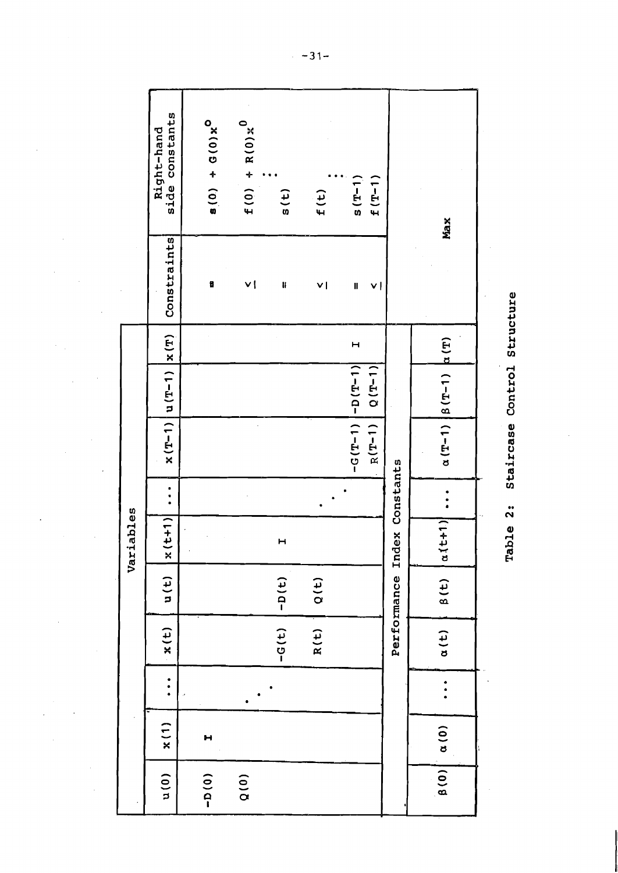|           | side constants<br>Right-hand | $a(0) + a(0)$         | $f(0) + R(0)x^{0}$ | s(t)                 | f(t) | $S(T-1)$            | $f(T-1)$        |                             | Max                                          |  |
|-----------|------------------------------|-----------------------|--------------------|----------------------|------|---------------------|-----------------|-----------------------------|----------------------------------------------|--|
|           | Constraints                  | 8                     | v (                | H                    | v J  | II                  | $\vee$ $\vdash$ |                             |                                              |  |
| Variables |                              |                       |                    |                      |      | $\mathbf{H}$        |                 | Performance Index Constants |                                              |  |
|           | $u(T-1)$ $x(T)$              |                       |                    |                      |      |                     | $Q(T-1)$        |                             | $\alpha(T-1)$ $\beta(T-1)$ $\alpha(T)$       |  |
|           | $x(T-1)$                     |                       |                    |                      |      | $-C(T-1)$ $-D(T-1)$ | $R(T-1)$        |                             |                                              |  |
|           | $\bullet$                    |                       |                    |                      |      |                     |                 |                             |                                              |  |
|           | $x(t+1)$                     |                       |                    | $\mathbf{H}$         |      |                     |                 |                             | $1(t+1)$<br>ð                                |  |
|           | u(t)                         |                       |                    | $\left(-D(t)\right)$ | Q(t) |                     |                 |                             | $\beta(t)$                                   |  |
|           | x(t)                         |                       |                    | $-G(t)$              | R(t) |                     |                 |                             | $\alpha(t)$                                  |  |
|           | $\ddot{\bullet}$             |                       |                    |                      |      |                     |                 |                             | $\ddot{\cdot}$                               |  |
|           | x(1)                         | $\blacktriangleright$ |                    |                      |      |                     |                 |                             | $\begin{bmatrix} 8(0) \\ a(0) \end{bmatrix}$ |  |
|           | u(0)                         | $-D(0)$               | Q(0)               |                      |      |                     |                 |                             |                                              |  |

 $\ddot{\phantom{a}}$  $\bar{\beta}$ 

Staircase Control Structure Table 2:

 $-31 \frac{1}{2}$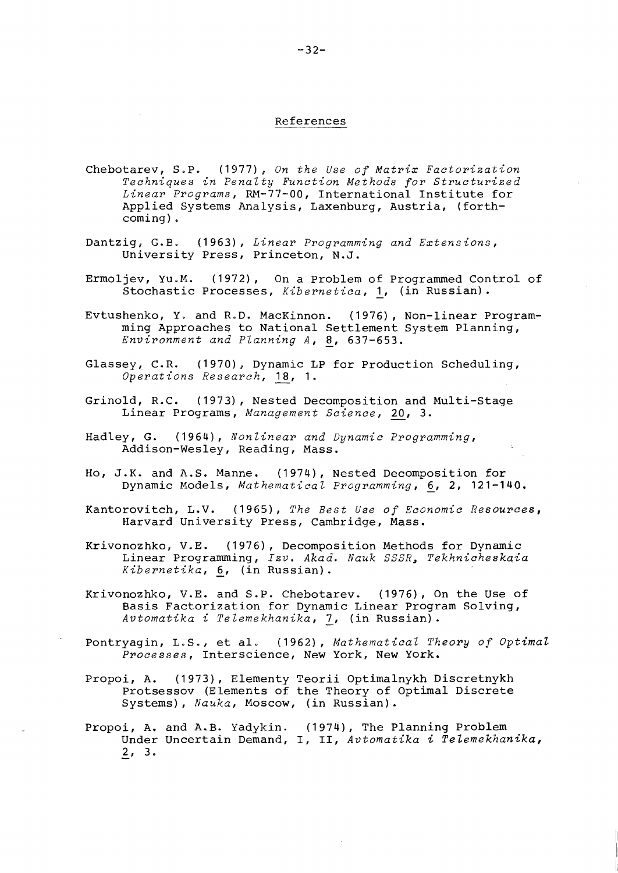#### References

- Chebotarev, S.P.  $(1977)$ , On the Use of Matrix Factorization Techniques in Penalty Function Methods for Structurized Linear Programs, RM-77-00, International Institute for Applied Systems Analysis, Laxenburg, Austria, (forthcoming).
- Dantzig, G.B. (1963), Linear Programming and Extensions, University Press, Princeton, M.J.
- Ermoljev, Yu.M. (1972), On a Problem of Programmed Control of Stochastic Processes, *Kibernetica*, 1, (in Russian).
- Evtushenko, Y. and R.D. MacKinnon. (1976), Non-linear Programming Approaches to National Settlement System Planning,<br>Environment and Planning A, 8, 637-653.
- Glassey, C.R. (1970), Dynamic LP for Production Scheduling, Environment and Planning A, <u>8</u>, 637-653.<br>ey, C.R. (1970), Dynamic LP for Produc<br>Operations Research, 18, 1.
- Grinold, R.C. (1973), Nested Decomposition and Multi-Stage operations nesearon, <mark>16</mark>, 1.<br>1d, R.C. (1973), Nested Decomposition and<br>Linear Programs, *Management Science*, <u>20</u>, 3 Linear Programs, Management Science, 20, 3.
- Hadley, G. (1964), Nonlinear and Dynamic Programming, Addison-Wesley, Reading, Mass.
- Ho, J.K. and A.S. Manne. (1974), Nested Decomposition for Dynamic Models, Mathematical Programming, 6, 2, 121-140.
- Kantorovitch, L.V. (1965), The Best Use of Economic Resources, Harvard university Press, Cambridge, Mass.
- Krivonozhko, V.E. (1976), Decomposition Methods for Dynamic Linear Programming, *Izv. Akad. Nauk SSSR, Tekhnicheskaia*<br>K*ibernetika,* 6, (in Russian).
- Krivonozhko, V.E. and S.P. Chebotarev. (1976), On the Use of Basis Factorization for Dynamic Linear Program Solving,<br>Av*tomatika i Telemekhanika*, <u>7</u>, (in Russian).
- Pontryagin, L.S., et al. (1962), Mathematical Theory of Optimal Processes, Interscience, New York, New York.
- Propoi, A. (1973), Elementy Teorii Optimalnykh Discretnykh Protsessov (Elements of the Theory of Optimal Discrete Systems), Nauka, Moscow, (in Russian).
- Propoi, A. and A.B. Yadykin. (1974), The Planning Problem<br>Under Uncertain Demand, I, II, Avtomatika i Telemekhanika, Under<br><u>2</u>, 3.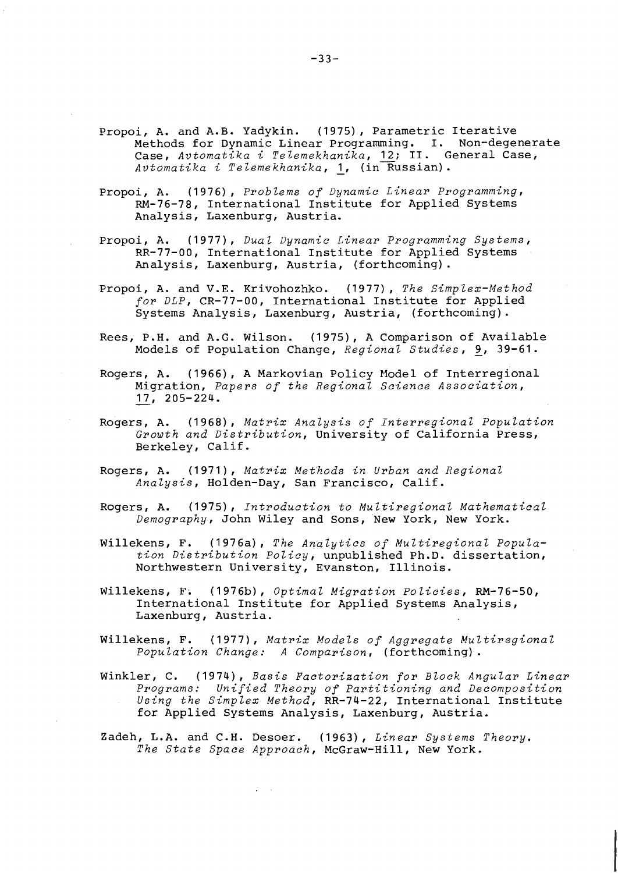- Propoi, A. and A.B. Yadykin. (1975), Parametric Iterative Methods for Dynamic Linear Programming. I. Non-degenerate Case, Avtomatika i Telemekhanika, 12; II. General Case,  $Avtomatika$  i Telemekhanika, 1, (in Russian).
- Propoi, A. (1976), Problems of Dynamic Linear Programming, RM-76-78, International Institute for Applied Systems Analysis, Laxenburg, Austria.
- Propoi, A. (1977), Dual Dynamic Linear Programming Systems, RR-77-00, International Institute for Applied Systems Analysis, Laxenburg, Austria, (forthcoming).
- Propoi, A. and V.E. Krivohozhko. (1977), The Simplex-Method for  $DLP$ , CR-77-00, International Institute for Applied Systems Analysis, Laxenburg, Austria, (forthcoming).
- Rees, P.H. and A.G. Wilson. (1975), A Comparison of Available Models of Population Change, Regional Studies, *9,* 39-61.
- Rogers, A. (1966), A Markovian Policy Model of Interregional<br>Migration, Papers of the Regional Science Association,<br>17, 205-224. Migration, Papers of the Regional Science Association,<br>17, 205-224.
- Rogers, A. (1968), Matrix Analysis of Interregional Population Growth and Distribution, University of California Press, Berkeley, Calif.
- Rogers, A. (1971), Matrix Methods in Urban and Regional Analysis, Holden-Day, San Francisco, Calif.
- Rogers, A. (1975), Introduction to Multiregional Mathematical Demography, John Wiley and Sons, 'New York, New York.
- Willekens, F.  $(1976a)$ , The Analytics of Multiregional Population Distribution Policy, unpublished Ph.D. dissertation, Northwestern University, Evanston, Illinois.
- Willekens, F. (1976b), Optimal Migration Policies, RM-76-50, International Institute for Applied Systems Analysis, Laxenburg, Austria.
- willekens, F. (1977), Matrix Models of Aggregate Multiregional kens, F. (1977), Matrix Models of Aggregate Mult<br>Population Change: A Comparison, <mark>(forthcoming).</mark>
- Winkler, C. (1974), Basis Factorization for Block Angular Linear Programs: Unified Theory of Partitioning and Decomposition Using the Simplex Method, RR-74-22, International Institute for Applied Systems Analysis, Laxenburg, Austria.
- Zadeh, L.A. and C.H. Desoer. (1963), Linear Systems Theory. The State Space Approach, McGraw-Hill, New York.

 $\mathbf{r} = \mathbf{r} \times \mathbf{r}$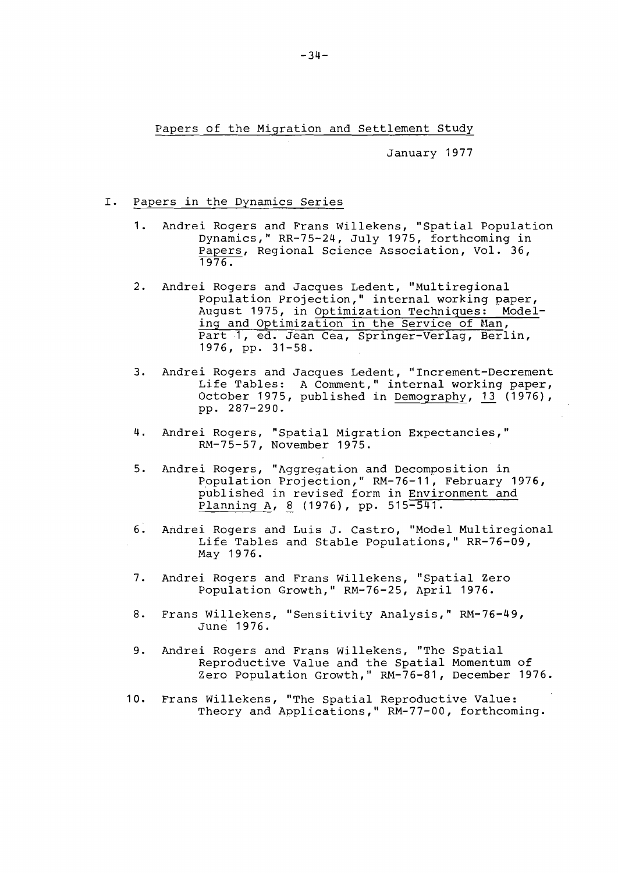#### Papers of the Migration and Settlement Study

January 1977

#### I. Papers in the Dynamics Series

- 1. Andrei Rogers and Frans Willekens, "Spatial Population Dynamics," RR-75-24, July 1975, forthcoming in Papers, Regional Science Association, Vol. 36, 1976.
- 2. Andrei Rogers and Jacques Ledent, "Multiregional Population Projection," internal working paper, August 1975, in Optimization Techniques: Modeling and Optimization in the Service of Man, Part 1, ed. Jean Cea, Springer-Verlag, Berlin, 1976, pp. 31-58.
- 3. Andrei Rogers and Jacques Ledent, "Increment-Decrement Life Tables: A Comment," internal working paper, i Rogers and Jacques Ledent, "Increment-Decrement<br>Life Tables: A Comment," internal working paper,<br>October 1975, published in <u>Demography, 13</u> (1976),<br>pp. 287-290. pp. 287-290.
- 4. Andrei Rogers, "Spatial Migration Expectancies," RM-75-57, November 1975.
- 5. Andrei Rogers, "Aggreqation and Decomposition in Population Projection," RM-76-11, February 1976, published in revised form in Environment and Planning A, 8 (1976), pp. 515-541.
- 6. Andrei Rogers and Luis J. Castro, "Model Multiregional Life Tables and Stable Populations," RR-76-09, May 1976.
- 7. Andrei Rogers and Frans Willekens, "Spatial Zero Population Growth," RM-76-25, April 1976.
- 8. Frans Willekens, "Sensitivity Analysis," RM-76-49, June 1976.
- 9. Andrei Rogers and Frans Willekens, "The Spatial Reproductive Value and the Spatial Momentum of Zero Population Growth,'' RM-76-81, December 1976.
- 10. Frans Willekens, "The Spatial Reproductive Value: Theory and Applications,"  $R\bar{M}-77-00$ , forthcoming.